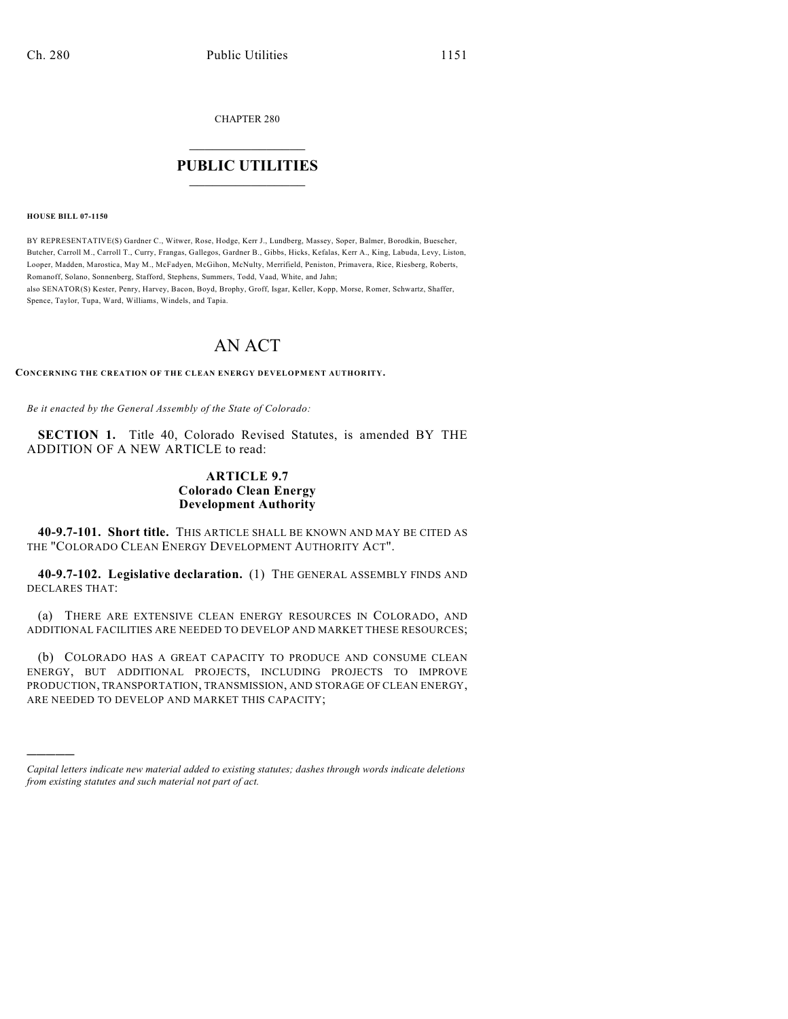CHAPTER 280

## $\mathcal{L}_\text{max}$  . The set of the set of the set of the set of the set of the set of the set of the set of the set of the set of the set of the set of the set of the set of the set of the set of the set of the set of the set **PUBLIC UTILITIES** \_\_\_\_\_\_\_\_\_\_\_\_\_\_\_

**HOUSE BILL 07-1150**

)))))

BY REPRESENTATIVE(S) Gardner C., Witwer, Rose, Hodge, Kerr J., Lundberg, Massey, Soper, Balmer, Borodkin, Buescher, Butcher, Carroll M., Carroll T., Curry, Frangas, Gallegos, Gardner B., Gibbs, Hicks, Kefalas, Kerr A., King, Labuda, Levy, Liston, Looper, Madden, Marostica, May M., McFadyen, McGihon, McNulty, Merrifield, Peniston, Primavera, Rice, Riesberg, Roberts, Romanoff, Solano, Sonnenberg, Stafford, Stephens, Summers, Todd, Vaad, White, and Jahn; also SENATOR(S) Kester, Penry, Harvey, Bacon, Boyd, Brophy, Groff, Isgar, Keller, Kopp, Morse, Romer, Schwartz, Shaffer, Spence, Taylor, Tupa, Ward, Williams, Windels, and Tapia.

# AN ACT

**CONCERNING THE CREATION OF THE CLEAN ENERGY DEVELOPMENT AUTHORITY.**

*Be it enacted by the General Assembly of the State of Colorado:*

**SECTION 1.** Title 40, Colorado Revised Statutes, is amended BY THE ADDITION OF A NEW ARTICLE to read:

### **ARTICLE 9.7 Colorado Clean Energy Development Authority**

**40-9.7-101. Short title.** THIS ARTICLE SHALL BE KNOWN AND MAY BE CITED AS THE "COLORADO CLEAN ENERGY DEVELOPMENT AUTHORITY ACT".

**40-9.7-102. Legislative declaration.** (1) THE GENERAL ASSEMBLY FINDS AND DECLARES THAT:

(a) THERE ARE EXTENSIVE CLEAN ENERGY RESOURCES IN COLORADO, AND ADDITIONAL FACILITIES ARE NEEDED TO DEVELOP AND MARKET THESE RESOURCES;

(b) COLORADO HAS A GREAT CAPACITY TO PRODUCE AND CONSUME CLEAN ENERGY, BUT ADDITIONAL PROJECTS, INCLUDING PROJECTS TO IMPROVE PRODUCTION, TRANSPORTATION, TRANSMISSION, AND STORAGE OF CLEAN ENERGY, ARE NEEDED TO DEVELOP AND MARKET THIS CAPACITY;

*Capital letters indicate new material added to existing statutes; dashes through words indicate deletions from existing statutes and such material not part of act.*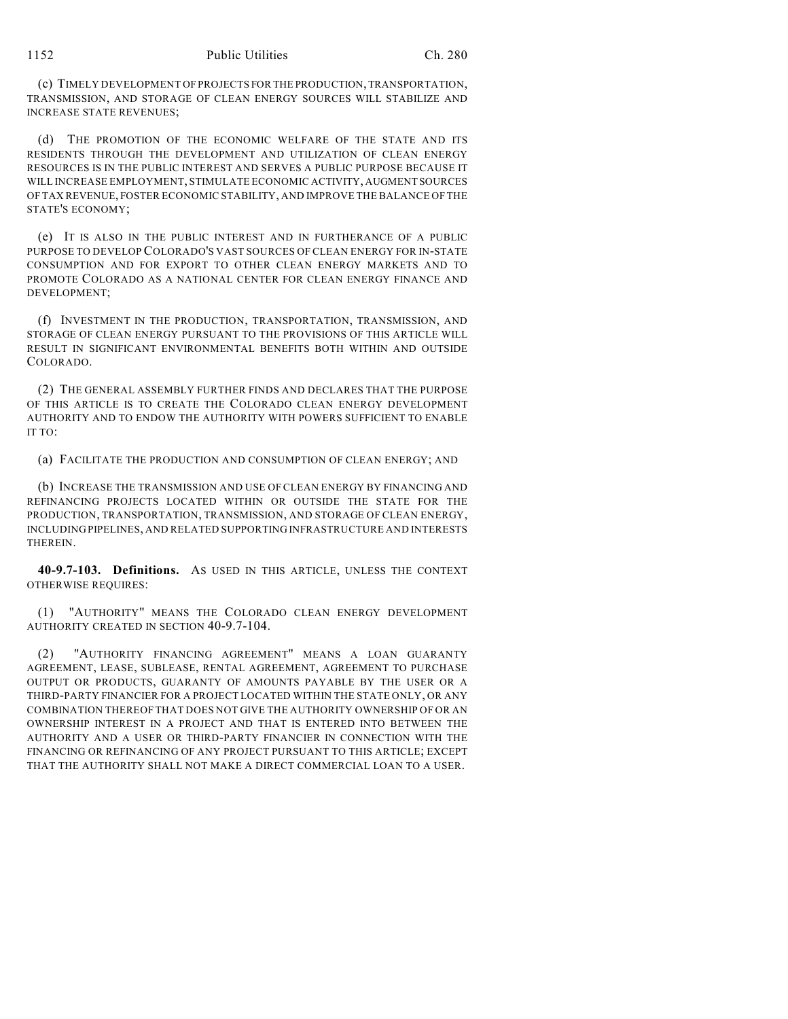(c) TIMELY DEVELOPMENT OF PROJECTS FOR THE PRODUCTION, TRANSPORTATION, TRANSMISSION, AND STORAGE OF CLEAN ENERGY SOURCES WILL STABILIZE AND INCREASE STATE REVENUES;

(d) THE PROMOTION OF THE ECONOMIC WELFARE OF THE STATE AND ITS RESIDENTS THROUGH THE DEVELOPMENT AND UTILIZATION OF CLEAN ENERGY RESOURCES IS IN THE PUBLIC INTEREST AND SERVES A PUBLIC PURPOSE BECAUSE IT WILL INCREASE EMPLOYMENT, STIMULATE ECONOMIC ACTIVITY, AUGMENT SOURCES OF TAX REVENUE, FOSTER ECONOMIC STABILITY, AND IMPROVE THE BALANCE OF THE STATE'S ECONOMY;

(e) IT IS ALSO IN THE PUBLIC INTEREST AND IN FURTHERANCE OF A PUBLIC PURPOSE TO DEVELOP COLORADO'S VAST SOURCES OF CLEAN ENERGY FOR IN-STATE CONSUMPTION AND FOR EXPORT TO OTHER CLEAN ENERGY MARKETS AND TO PROMOTE COLORADO AS A NATIONAL CENTER FOR CLEAN ENERGY FINANCE AND DEVELOPMENT;

(f) INVESTMENT IN THE PRODUCTION, TRANSPORTATION, TRANSMISSION, AND STORAGE OF CLEAN ENERGY PURSUANT TO THE PROVISIONS OF THIS ARTICLE WILL RESULT IN SIGNIFICANT ENVIRONMENTAL BENEFITS BOTH WITHIN AND OUTSIDE COLORADO.

(2) THE GENERAL ASSEMBLY FURTHER FINDS AND DECLARES THAT THE PURPOSE OF THIS ARTICLE IS TO CREATE THE COLORADO CLEAN ENERGY DEVELOPMENT AUTHORITY AND TO ENDOW THE AUTHORITY WITH POWERS SUFFICIENT TO ENABLE IT TO:

(a) FACILITATE THE PRODUCTION AND CONSUMPTION OF CLEAN ENERGY; AND

(b) INCREASE THE TRANSMISSION AND USE OF CLEAN ENERGY BY FINANCING AND REFINANCING PROJECTS LOCATED WITHIN OR OUTSIDE THE STATE FOR THE PRODUCTION, TRANSPORTATION, TRANSMISSION, AND STORAGE OF CLEAN ENERGY, INCLUDING PIPELINES, AND RELATED SUPPORTING INFRASTRUCTURE AND INTERESTS THEREIN.

**40-9.7-103. Definitions.** AS USED IN THIS ARTICLE, UNLESS THE CONTEXT OTHERWISE REQUIRES:

(1) "AUTHORITY" MEANS THE COLORADO CLEAN ENERGY DEVELOPMENT AUTHORITY CREATED IN SECTION 40-9.7-104.

(2) "AUTHORITY FINANCING AGREEMENT" MEANS A LOAN GUARANTY AGREEMENT, LEASE, SUBLEASE, RENTAL AGREEMENT, AGREEMENT TO PURCHASE OUTPUT OR PRODUCTS, GUARANTY OF AMOUNTS PAYABLE BY THE USER OR A THIRD-PARTY FINANCIER FOR A PROJECT LOCATED WITHIN THE STATE ONLY, OR ANY COMBINATION THEREOF THAT DOES NOT GIVE THE AUTHORITY OWNERSHIP OF OR AN OWNERSHIP INTEREST IN A PROJECT AND THAT IS ENTERED INTO BETWEEN THE AUTHORITY AND A USER OR THIRD-PARTY FINANCIER IN CONNECTION WITH THE FINANCING OR REFINANCING OF ANY PROJECT PURSUANT TO THIS ARTICLE; EXCEPT THAT THE AUTHORITY SHALL NOT MAKE A DIRECT COMMERCIAL LOAN TO A USER.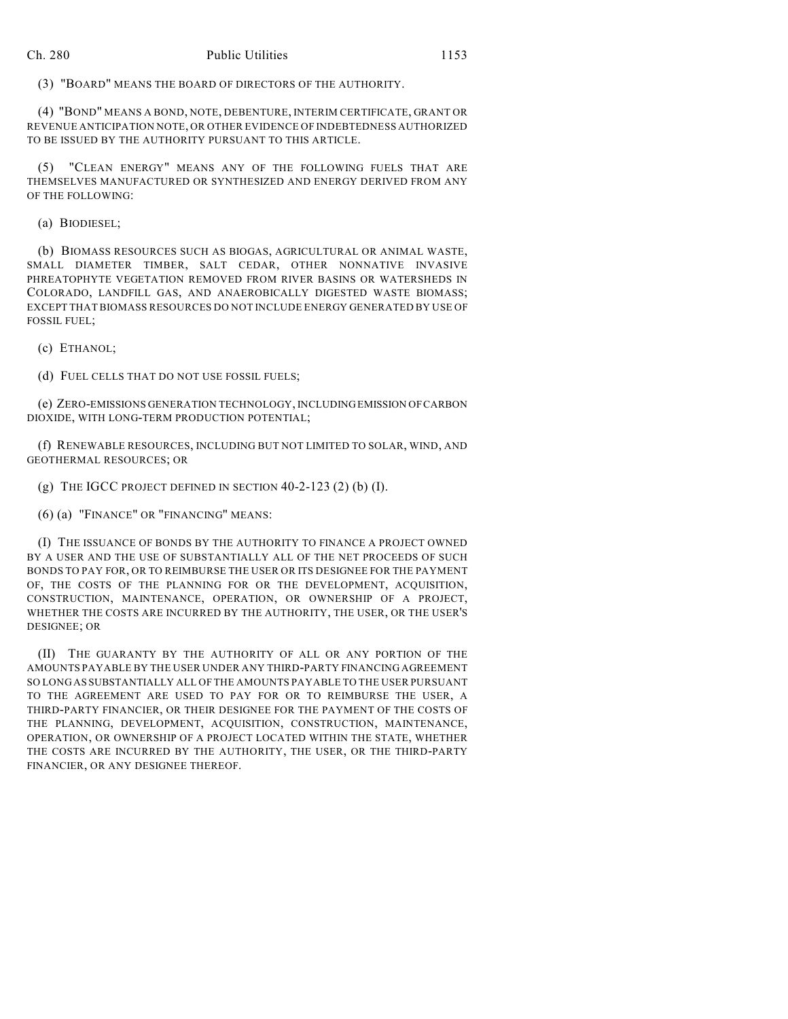(3) "BOARD" MEANS THE BOARD OF DIRECTORS OF THE AUTHORITY.

(4) "BOND" MEANS A BOND, NOTE, DEBENTURE, INTERIM CERTIFICATE, GRANT OR REVENUE ANTICIPATION NOTE, OR OTHER EVIDENCE OF INDEBTEDNESS AUTHORIZED TO BE ISSUED BY THE AUTHORITY PURSUANT TO THIS ARTICLE.

(5) "CLEAN ENERGY" MEANS ANY OF THE FOLLOWING FUELS THAT ARE THEMSELVES MANUFACTURED OR SYNTHESIZED AND ENERGY DERIVED FROM ANY OF THE FOLLOWING:

(a) BIODIESEL;

(b) BIOMASS RESOURCES SUCH AS BIOGAS, AGRICULTURAL OR ANIMAL WASTE, SMALL DIAMETER TIMBER, SALT CEDAR, OTHER NONNATIVE INVASIVE PHREATOPHYTE VEGETATION REMOVED FROM RIVER BASINS OR WATERSHEDS IN COLORADO, LANDFILL GAS, AND ANAEROBICALLY DIGESTED WASTE BIOMASS; EXCEPT THAT BIOMASS RESOURCES DO NOT INCLUDE ENERGY GENERATED BY USE OF FOSSIL FUEL;

(c) ETHANOL;

(d) FUEL CELLS THAT DO NOT USE FOSSIL FUELS;

(e) ZERO-EMISSIONS GENERATION TECHNOLOGY, INCLUDING EMISSION OF CARBON DIOXIDE, WITH LONG-TERM PRODUCTION POTENTIAL;

(f) RENEWABLE RESOURCES, INCLUDING BUT NOT LIMITED TO SOLAR, WIND, AND GEOTHERMAL RESOURCES; OR

(g) THE IGCC PROJECT DEFINED IN SECTION 40-2-123 (2) (b) (I).

(6) (a) "FINANCE" OR "FINANCING" MEANS:

(I) THE ISSUANCE OF BONDS BY THE AUTHORITY TO FINANCE A PROJECT OWNED BY A USER AND THE USE OF SUBSTANTIALLY ALL OF THE NET PROCEEDS OF SUCH BONDS TO PAY FOR, OR TO REIMBURSE THE USER OR ITS DESIGNEE FOR THE PAYMENT OF, THE COSTS OF THE PLANNING FOR OR THE DEVELOPMENT, ACQUISITION, CONSTRUCTION, MAINTENANCE, OPERATION, OR OWNERSHIP OF A PROJECT, WHETHER THE COSTS ARE INCURRED BY THE AUTHORITY, THE USER, OR THE USER'S DESIGNEE; OR

(II) THE GUARANTY BY THE AUTHORITY OF ALL OR ANY PORTION OF THE AMOUNTS PAYABLE BY THE USER UNDER ANY THIRD-PARTY FINANCING AGREEMENT SO LONG AS SUBSTANTIALLY ALL OF THE AMOUNTS PAYABLE TO THE USER PURSUANT TO THE AGREEMENT ARE USED TO PAY FOR OR TO REIMBURSE THE USER, A THIRD-PARTY FINANCIER, OR THEIR DESIGNEE FOR THE PAYMENT OF THE COSTS OF THE PLANNING, DEVELOPMENT, ACQUISITION, CONSTRUCTION, MAINTENANCE, OPERATION, OR OWNERSHIP OF A PROJECT LOCATED WITHIN THE STATE, WHETHER THE COSTS ARE INCURRED BY THE AUTHORITY, THE USER, OR THE THIRD-PARTY FINANCIER, OR ANY DESIGNEE THEREOF.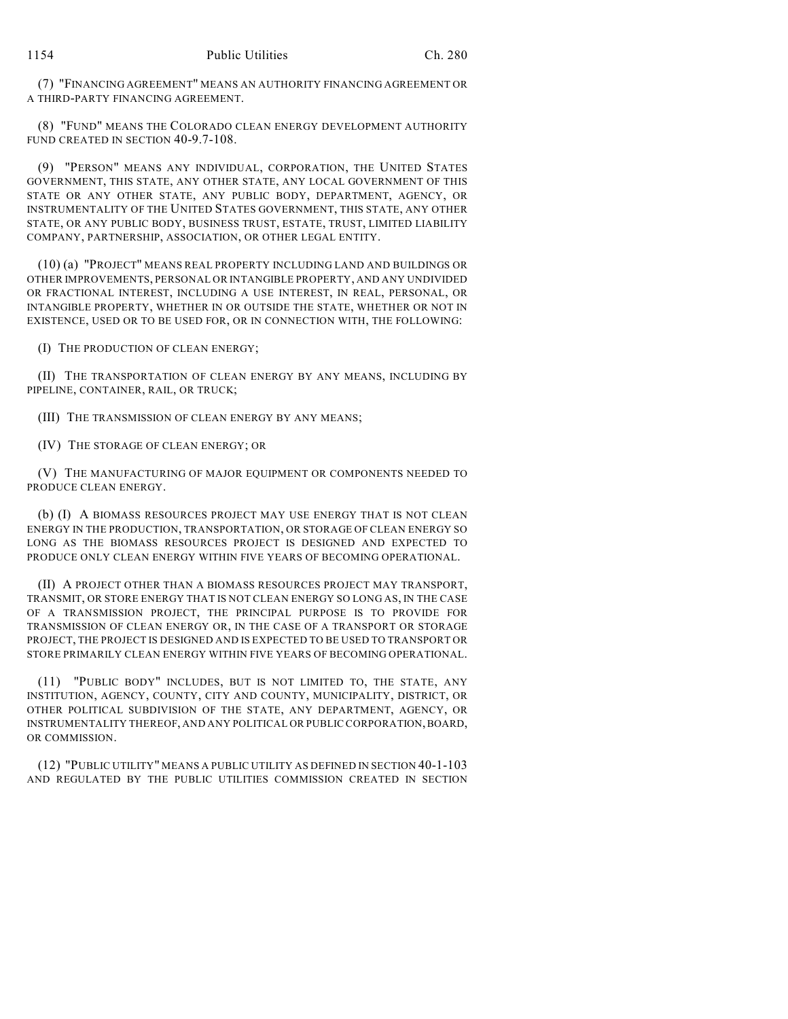(7) "FINANCING AGREEMENT" MEANS AN AUTHORITY FINANCING AGREEMENT OR A THIRD-PARTY FINANCING AGREEMENT.

(8) "FUND" MEANS THE COLORADO CLEAN ENERGY DEVELOPMENT AUTHORITY FUND CREATED IN SECTION 40-9.7-108.

(9) "PERSON" MEANS ANY INDIVIDUAL, CORPORATION, THE UNITED STATES GOVERNMENT, THIS STATE, ANY OTHER STATE, ANY LOCAL GOVERNMENT OF THIS STATE OR ANY OTHER STATE, ANY PUBLIC BODY, DEPARTMENT, AGENCY, OR INSTRUMENTALITY OF THE UNITED STATES GOVERNMENT, THIS STATE, ANY OTHER STATE, OR ANY PUBLIC BODY, BUSINESS TRUST, ESTATE, TRUST, LIMITED LIABILITY COMPANY, PARTNERSHIP, ASSOCIATION, OR OTHER LEGAL ENTITY.

(10) (a) "PROJECT" MEANS REAL PROPERTY INCLUDING LAND AND BUILDINGS OR OTHER IMPROVEMENTS, PERSONAL OR INTANGIBLE PROPERTY, AND ANY UNDIVIDED OR FRACTIONAL INTEREST, INCLUDING A USE INTEREST, IN REAL, PERSONAL, OR INTANGIBLE PROPERTY, WHETHER IN OR OUTSIDE THE STATE, WHETHER OR NOT IN EXISTENCE, USED OR TO BE USED FOR, OR IN CONNECTION WITH, THE FOLLOWING:

(I) THE PRODUCTION OF CLEAN ENERGY;

(II) THE TRANSPORTATION OF CLEAN ENERGY BY ANY MEANS, INCLUDING BY PIPELINE, CONTAINER, RAIL, OR TRUCK;

(III) THE TRANSMISSION OF CLEAN ENERGY BY ANY MEANS;

(IV) THE STORAGE OF CLEAN ENERGY; OR

(V) THE MANUFACTURING OF MAJOR EQUIPMENT OR COMPONENTS NEEDED TO PRODUCE CLEAN ENERGY.

(b) (I) A BIOMASS RESOURCES PROJECT MAY USE ENERGY THAT IS NOT CLEAN ENERGY IN THE PRODUCTION, TRANSPORTATION, OR STORAGE OF CLEAN ENERGY SO LONG AS THE BIOMASS RESOURCES PROJECT IS DESIGNED AND EXPECTED TO PRODUCE ONLY CLEAN ENERGY WITHIN FIVE YEARS OF BECOMING OPERATIONAL.

(II) A PROJECT OTHER THAN A BIOMASS RESOURCES PROJECT MAY TRANSPORT, TRANSMIT, OR STORE ENERGY THAT IS NOT CLEAN ENERGY SO LONG AS, IN THE CASE OF A TRANSMISSION PROJECT, THE PRINCIPAL PURPOSE IS TO PROVIDE FOR TRANSMISSION OF CLEAN ENERGY OR, IN THE CASE OF A TRANSPORT OR STORAGE PROJECT, THE PROJECT IS DESIGNED AND IS EXPECTED TO BE USED TO TRANSPORT OR STORE PRIMARILY CLEAN ENERGY WITHIN FIVE YEARS OF BECOMING OPERATIONAL.

(11) "PUBLIC BODY" INCLUDES, BUT IS NOT LIMITED TO, THE STATE, ANY INSTITUTION, AGENCY, COUNTY, CITY AND COUNTY, MUNICIPALITY, DISTRICT, OR OTHER POLITICAL SUBDIVISION OF THE STATE, ANY DEPARTMENT, AGENCY, OR INSTRUMENTALITY THEREOF, AND ANY POLITICAL OR PUBLIC CORPORATION, BOARD, OR COMMISSION.

(12) "PUBLIC UTILITY" MEANS A PUBLIC UTILITY AS DEFINED IN SECTION 40-1-103 AND REGULATED BY THE PUBLIC UTILITIES COMMISSION CREATED IN SECTION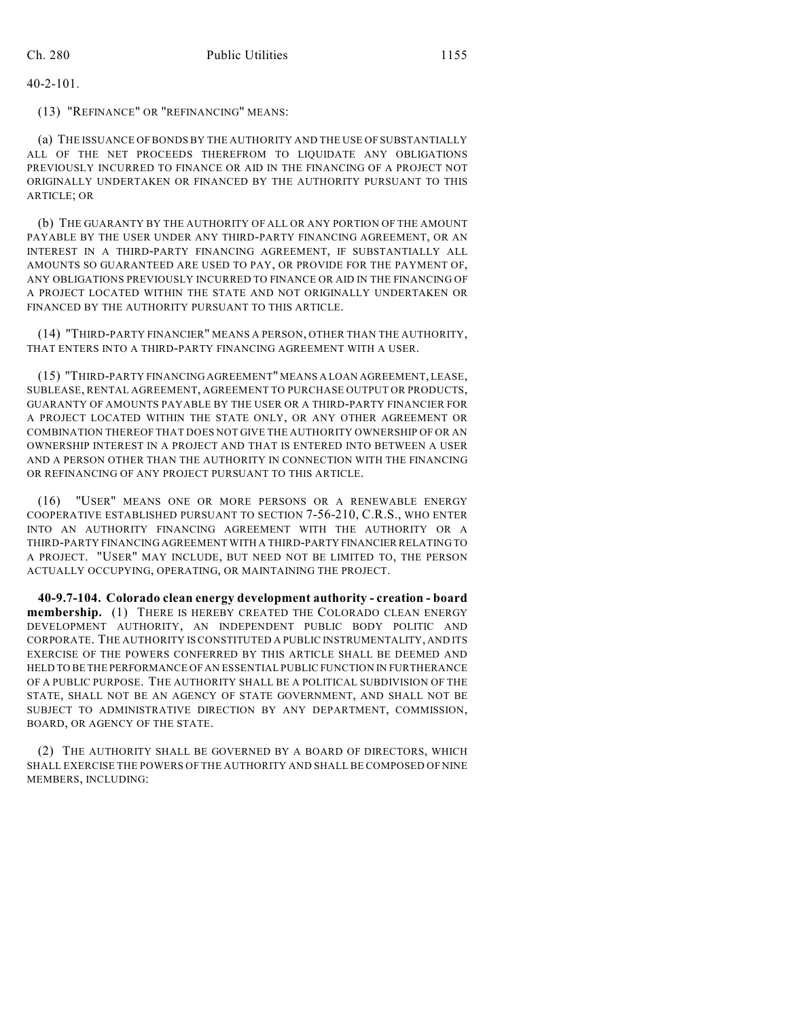40-2-101.

(13) "REFINANCE" OR "REFINANCING" MEANS:

(a) THE ISSUANCE OF BONDS BY THE AUTHORITY AND THE USE OF SUBSTANTIALLY ALL OF THE NET PROCEEDS THEREFROM TO LIQUIDATE ANY OBLIGATIONS PREVIOUSLY INCURRED TO FINANCE OR AID IN THE FINANCING OF A PROJECT NOT ORIGINALLY UNDERTAKEN OR FINANCED BY THE AUTHORITY PURSUANT TO THIS ARTICLE; OR

(b) THE GUARANTY BY THE AUTHORITY OF ALL OR ANY PORTION OF THE AMOUNT PAYABLE BY THE USER UNDER ANY THIRD-PARTY FINANCING AGREEMENT, OR AN INTEREST IN A THIRD-PARTY FINANCING AGREEMENT, IF SUBSTANTIALLY ALL AMOUNTS SO GUARANTEED ARE USED TO PAY, OR PROVIDE FOR THE PAYMENT OF, ANY OBLIGATIONS PREVIOUSLY INCURRED TO FINANCE OR AID IN THE FINANCING OF A PROJECT LOCATED WITHIN THE STATE AND NOT ORIGINALLY UNDERTAKEN OR FINANCED BY THE AUTHORITY PURSUANT TO THIS ARTICLE.

(14) "THIRD-PARTY FINANCIER" MEANS A PERSON, OTHER THAN THE AUTHORITY, THAT ENTERS INTO A THIRD-PARTY FINANCING AGREEMENT WITH A USER.

(15) "THIRD-PARTY FINANCING AGREEMENT" MEANS A LOAN AGREEMENT, LEASE, SUBLEASE, RENTAL AGREEMENT, AGREEMENT TO PURCHASE OUTPUT OR PRODUCTS, GUARANTY OF AMOUNTS PAYABLE BY THE USER OR A THIRD-PARTY FINANCIER FOR A PROJECT LOCATED WITHIN THE STATE ONLY, OR ANY OTHER AGREEMENT OR COMBINATION THEREOF THAT DOES NOT GIVE THE AUTHORITY OWNERSHIP OF OR AN OWNERSHIP INTEREST IN A PROJECT AND THAT IS ENTERED INTO BETWEEN A USER AND A PERSON OTHER THAN THE AUTHORITY IN CONNECTION WITH THE FINANCING OR REFINANCING OF ANY PROJECT PURSUANT TO THIS ARTICLE.

(16) "USER" MEANS ONE OR MORE PERSONS OR A RENEWABLE ENERGY COOPERATIVE ESTABLISHED PURSUANT TO SECTION 7-56-210, C.R.S., WHO ENTER INTO AN AUTHORITY FINANCING AGREEMENT WITH THE AUTHORITY OR A THIRD-PARTY FINANCING AGREEMENT WITH A THIRD-PARTY FINANCIER RELATING TO A PROJECT. "USER" MAY INCLUDE, BUT NEED NOT BE LIMITED TO, THE PERSON ACTUALLY OCCUPYING, OPERATING, OR MAINTAINING THE PROJECT.

**40-9.7-104. Colorado clean energy development authority - creation - board membership.** (1) THERE IS HEREBY CREATED THE COLORADO CLEAN ENERGY DEVELOPMENT AUTHORITY, AN INDEPENDENT PUBLIC BODY POLITIC AND CORPORATE. THE AUTHORITY IS CONSTITUTED A PUBLIC INSTRUMENTALITY, AND ITS EXERCISE OF THE POWERS CONFERRED BY THIS ARTICLE SHALL BE DEEMED AND HELD TO BE THE PERFORMANCE OF AN ESSENTIAL PUBLIC FUNCTION IN FURTHERANCE OF A PUBLIC PURPOSE. THE AUTHORITY SHALL BE A POLITICAL SUBDIVISION OF THE STATE, SHALL NOT BE AN AGENCY OF STATE GOVERNMENT, AND SHALL NOT BE SUBJECT TO ADMINISTRATIVE DIRECTION BY ANY DEPARTMENT, COMMISSION, BOARD, OR AGENCY OF THE STATE.

(2) THE AUTHORITY SHALL BE GOVERNED BY A BOARD OF DIRECTORS, WHICH SHALL EXERCISE THE POWERS OF THE AUTHORITY AND SHALL BE COMPOSED OF NINE MEMBERS, INCLUDING: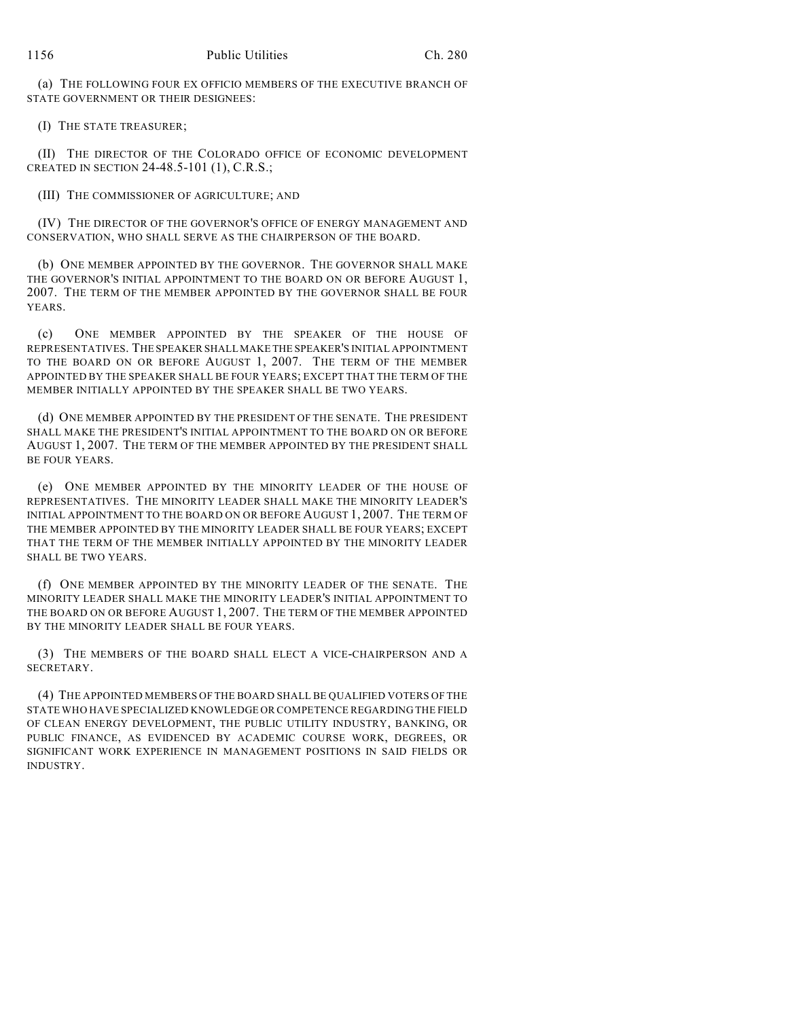(a) THE FOLLOWING FOUR EX OFFICIO MEMBERS OF THE EXECUTIVE BRANCH OF STATE GOVERNMENT OR THEIR DESIGNEES:

(I) THE STATE TREASURER;

(II) THE DIRECTOR OF THE COLORADO OFFICE OF ECONOMIC DEVELOPMENT CREATED IN SECTION 24-48.5-101 (1), C.R.S.;

(III) THE COMMISSIONER OF AGRICULTURE; AND

(IV) THE DIRECTOR OF THE GOVERNOR'S OFFICE OF ENERGY MANAGEMENT AND CONSERVATION, WHO SHALL SERVE AS THE CHAIRPERSON OF THE BOARD.

(b) ONE MEMBER APPOINTED BY THE GOVERNOR. THE GOVERNOR SHALL MAKE THE GOVERNOR'S INITIAL APPOINTMENT TO THE BOARD ON OR BEFORE AUGUST 1, 2007. THE TERM OF THE MEMBER APPOINTED BY THE GOVERNOR SHALL BE FOUR YEARS.

(c) ONE MEMBER APPOINTED BY THE SPEAKER OF THE HOUSE OF REPRESENTATIVES. THE SPEAKER SHALL MAKE THE SPEAKER'S INITIAL APPOINTMENT TO THE BOARD ON OR BEFORE AUGUST 1, 2007. THE TERM OF THE MEMBER APPOINTED BY THE SPEAKER SHALL BE FOUR YEARS; EXCEPT THAT THE TERM OF THE MEMBER INITIALLY APPOINTED BY THE SPEAKER SHALL BE TWO YEARS.

(d) ONE MEMBER APPOINTED BY THE PRESIDENT OF THE SENATE. THE PRESIDENT SHALL MAKE THE PRESIDENT'S INITIAL APPOINTMENT TO THE BOARD ON OR BEFORE AUGUST 1, 2007. THE TERM OF THE MEMBER APPOINTED BY THE PRESIDENT SHALL BE FOUR YEARS.

(e) ONE MEMBER APPOINTED BY THE MINORITY LEADER OF THE HOUSE OF REPRESENTATIVES. THE MINORITY LEADER SHALL MAKE THE MINORITY LEADER'S INITIAL APPOINTMENT TO THE BOARD ON OR BEFORE AUGUST 1, 2007. THE TERM OF THE MEMBER APPOINTED BY THE MINORITY LEADER SHALL BE FOUR YEARS; EXCEPT THAT THE TERM OF THE MEMBER INITIALLY APPOINTED BY THE MINORITY LEADER SHALL BE TWO YEARS.

(f) ONE MEMBER APPOINTED BY THE MINORITY LEADER OF THE SENATE. THE MINORITY LEADER SHALL MAKE THE MINORITY LEADER'S INITIAL APPOINTMENT TO THE BOARD ON OR BEFORE AUGUST 1, 2007. THE TERM OF THE MEMBER APPOINTED BY THE MINORITY LEADER SHALL BE FOUR YEARS.

(3) THE MEMBERS OF THE BOARD SHALL ELECT A VICE-CHAIRPERSON AND A SECRETARY.

(4) THE APPOINTED MEMBERS OF THE BOARD SHALL BE QUALIFIED VOTERS OF THE STATE WHO HAVE SPECIALIZED KNOWLEDGE OR COMPETENCE REGARDING THE FIELD OF CLEAN ENERGY DEVELOPMENT, THE PUBLIC UTILITY INDUSTRY, BANKING, OR PUBLIC FINANCE, AS EVIDENCED BY ACADEMIC COURSE WORK, DEGREES, OR SIGNIFICANT WORK EXPERIENCE IN MANAGEMENT POSITIONS IN SAID FIELDS OR INDUSTRY.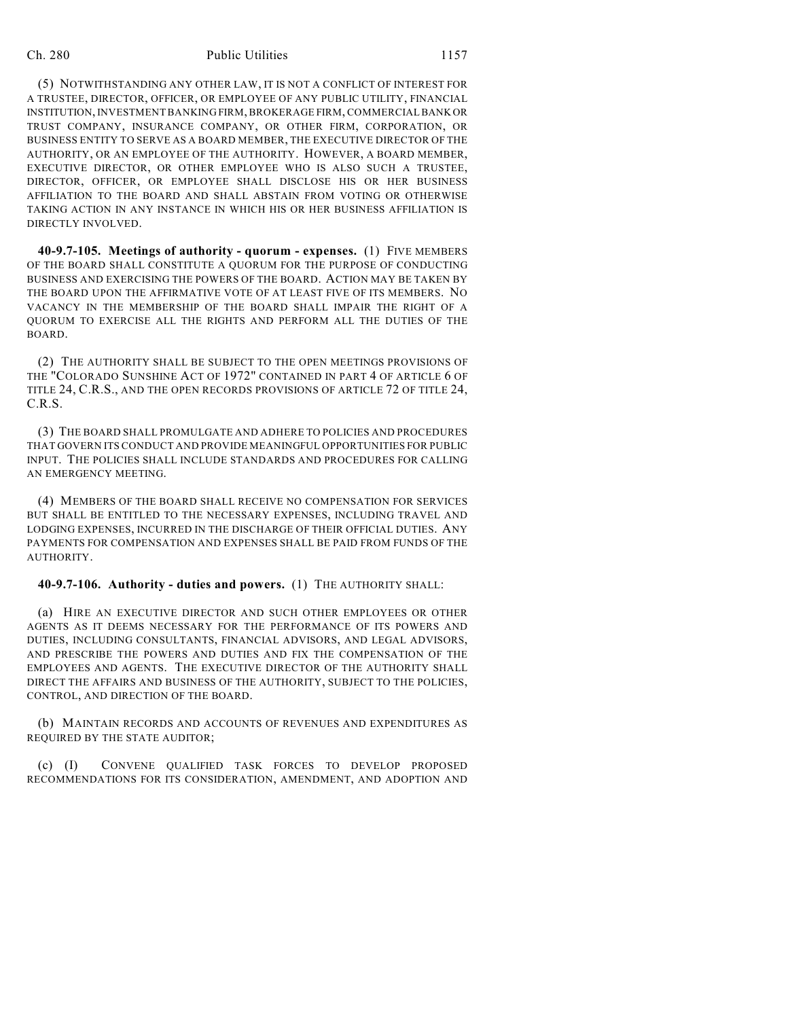#### Ch. 280 Public Utilities 1157

(5) NOTWITHSTANDING ANY OTHER LAW, IT IS NOT A CONFLICT OF INTEREST FOR A TRUSTEE, DIRECTOR, OFFICER, OR EMPLOYEE OF ANY PUBLIC UTILITY, FINANCIAL INSTITUTION, INVESTMENT BANKING FIRM, BROKERAGE FIRM, COMMERCIAL BANK OR TRUST COMPANY, INSURANCE COMPANY, OR OTHER FIRM, CORPORATION, OR BUSINESS ENTITY TO SERVE AS A BOARD MEMBER, THE EXECUTIVE DIRECTOR OF THE AUTHORITY, OR AN EMPLOYEE OF THE AUTHORITY. HOWEVER, A BOARD MEMBER, EXECUTIVE DIRECTOR, OR OTHER EMPLOYEE WHO IS ALSO SUCH A TRUSTEE, DIRECTOR, OFFICER, OR EMPLOYEE SHALL DISCLOSE HIS OR HER BUSINESS AFFILIATION TO THE BOARD AND SHALL ABSTAIN FROM VOTING OR OTHERWISE TAKING ACTION IN ANY INSTANCE IN WHICH HIS OR HER BUSINESS AFFILIATION IS DIRECTLY INVOLVED.

**40-9.7-105. Meetings of authority - quorum - expenses.** (1) FIVE MEMBERS OF THE BOARD SHALL CONSTITUTE A QUORUM FOR THE PURPOSE OF CONDUCTING BUSINESS AND EXERCISING THE POWERS OF THE BOARD. ACTION MAY BE TAKEN BY THE BOARD UPON THE AFFIRMATIVE VOTE OF AT LEAST FIVE OF ITS MEMBERS. NO VACANCY IN THE MEMBERSHIP OF THE BOARD SHALL IMPAIR THE RIGHT OF A QUORUM TO EXERCISE ALL THE RIGHTS AND PERFORM ALL THE DUTIES OF THE BOARD.

(2) THE AUTHORITY SHALL BE SUBJECT TO THE OPEN MEETINGS PROVISIONS OF THE "COLORADO SUNSHINE ACT OF 1972" CONTAINED IN PART 4 OF ARTICLE 6 OF TITLE 24, C.R.S., AND THE OPEN RECORDS PROVISIONS OF ARTICLE 72 OF TITLE 24, C.R.S.

(3) THE BOARD SHALL PROMULGATE AND ADHERE TO POLICIES AND PROCEDURES THAT GOVERN ITS CONDUCT AND PROVIDE MEANINGFUL OPPORTUNITIES FOR PUBLIC INPUT. THE POLICIES SHALL INCLUDE STANDARDS AND PROCEDURES FOR CALLING AN EMERGENCY MEETING.

(4) MEMBERS OF THE BOARD SHALL RECEIVE NO COMPENSATION FOR SERVICES BUT SHALL BE ENTITLED TO THE NECESSARY EXPENSES, INCLUDING TRAVEL AND LODGING EXPENSES, INCURRED IN THE DISCHARGE OF THEIR OFFICIAL DUTIES. ANY PAYMENTS FOR COMPENSATION AND EXPENSES SHALL BE PAID FROM FUNDS OF THE AUTHORITY.

## **40-9.7-106. Authority - duties and powers.** (1) THE AUTHORITY SHALL:

(a) HIRE AN EXECUTIVE DIRECTOR AND SUCH OTHER EMPLOYEES OR OTHER AGENTS AS IT DEEMS NECESSARY FOR THE PERFORMANCE OF ITS POWERS AND DUTIES, INCLUDING CONSULTANTS, FINANCIAL ADVISORS, AND LEGAL ADVISORS, AND PRESCRIBE THE POWERS AND DUTIES AND FIX THE COMPENSATION OF THE EMPLOYEES AND AGENTS. THE EXECUTIVE DIRECTOR OF THE AUTHORITY SHALL DIRECT THE AFFAIRS AND BUSINESS OF THE AUTHORITY, SUBJECT TO THE POLICIES, CONTROL, AND DIRECTION OF THE BOARD.

(b) MAINTAIN RECORDS AND ACCOUNTS OF REVENUES AND EXPENDITURES AS REQUIRED BY THE STATE AUDITOR;

(c) (I) CONVENE QUALIFIED TASK FORCES TO DEVELOP PROPOSED RECOMMENDATIONS FOR ITS CONSIDERATION, AMENDMENT, AND ADOPTION AND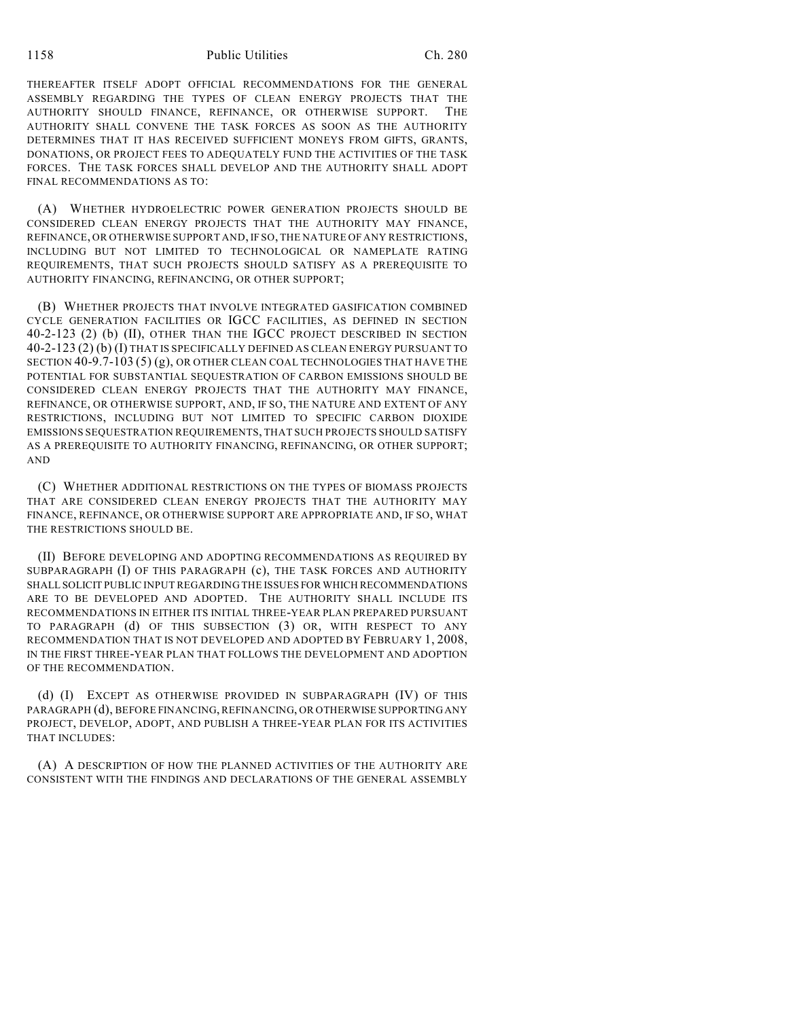1158 Public Utilities Ch. 280

THEREAFTER ITSELF ADOPT OFFICIAL RECOMMENDATIONS FOR THE GENERAL ASSEMBLY REGARDING THE TYPES OF CLEAN ENERGY PROJECTS THAT THE AUTHORITY SHOULD FINANCE, REFINANCE, OR OTHERWISE SUPPORT. AUTHORITY SHALL CONVENE THE TASK FORCES AS SOON AS THE AUTHORITY DETERMINES THAT IT HAS RECEIVED SUFFICIENT MONEYS FROM GIFTS, GRANTS, DONATIONS, OR PROJECT FEES TO ADEQUATELY FUND THE ACTIVITIES OF THE TASK FORCES. THE TASK FORCES SHALL DEVELOP AND THE AUTHORITY SHALL ADOPT FINAL RECOMMENDATIONS AS TO:

(A) WHETHER HYDROELECTRIC POWER GENERATION PROJECTS SHOULD BE CONSIDERED CLEAN ENERGY PROJECTS THAT THE AUTHORITY MAY FINANCE, REFINANCE, OR OTHERWISE SUPPORT AND, IF SO, THE NATURE OF ANY RESTRICTIONS, INCLUDING BUT NOT LIMITED TO TECHNOLOGICAL OR NAMEPLATE RATING REQUIREMENTS, THAT SUCH PROJECTS SHOULD SATISFY AS A PREREQUISITE TO AUTHORITY FINANCING, REFINANCING, OR OTHER SUPPORT;

(B) WHETHER PROJECTS THAT INVOLVE INTEGRATED GASIFICATION COMBINED CYCLE GENERATION FACILITIES OR IGCC FACILITIES, AS DEFINED IN SECTION 40-2-123 (2) (b) (II), OTHER THAN THE IGCC PROJECT DESCRIBED IN SECTION 40-2-123 (2) (b) (I) THAT IS SPECIFICALLY DEFINED AS CLEAN ENERGY PURSUANT TO SECTION  $40-9.7-103(5)(g)$ , OR OTHER CLEAN COAL TECHNOLOGIES THAT HAVE THE POTENTIAL FOR SUBSTANTIAL SEQUESTRATION OF CARBON EMISSIONS SHOULD BE CONSIDERED CLEAN ENERGY PROJECTS THAT THE AUTHORITY MAY FINANCE, REFINANCE, OR OTHERWISE SUPPORT, AND, IF SO, THE NATURE AND EXTENT OF ANY RESTRICTIONS, INCLUDING BUT NOT LIMITED TO SPECIFIC CARBON DIOXIDE EMISSIONS SEQUESTRATION REQUIREMENTS, THAT SUCH PROJECTS SHOULD SATISFY AS A PREREQUISITE TO AUTHORITY FINANCING, REFINANCING, OR OTHER SUPPORT; AND

(C) WHETHER ADDITIONAL RESTRICTIONS ON THE TYPES OF BIOMASS PROJECTS THAT ARE CONSIDERED CLEAN ENERGY PROJECTS THAT THE AUTHORITY MAY FINANCE, REFINANCE, OR OTHERWISE SUPPORT ARE APPROPRIATE AND, IF SO, WHAT THE RESTRICTIONS SHOULD BE.

(II) BEFORE DEVELOPING AND ADOPTING RECOMMENDATIONS AS REQUIRED BY SUBPARAGRAPH (I) OF THIS PARAGRAPH (c), THE TASK FORCES AND AUTHORITY SHALL SOLICIT PUBLIC INPUT REGARDING THE ISSUES FOR WHICH RECOMMENDATIONS ARE TO BE DEVELOPED AND ADOPTED. THE AUTHORITY SHALL INCLUDE ITS RECOMMENDATIONS IN EITHER ITS INITIAL THREE-YEAR PLAN PREPARED PURSUANT TO PARAGRAPH (d) OF THIS SUBSECTION (3) OR, WITH RESPECT TO ANY RECOMMENDATION THAT IS NOT DEVELOPED AND ADOPTED BY FEBRUARY 1, 2008, IN THE FIRST THREE-YEAR PLAN THAT FOLLOWS THE DEVELOPMENT AND ADOPTION OF THE RECOMMENDATION.

(d) (I) EXCEPT AS OTHERWISE PROVIDED IN SUBPARAGRAPH (IV) OF THIS PARAGRAPH (d), BEFORE FINANCING, REFINANCING, OR OTHERWISE SUPPORTING ANY PROJECT, DEVELOP, ADOPT, AND PUBLISH A THREE-YEAR PLAN FOR ITS ACTIVITIES THAT INCLUDES:

(A) A DESCRIPTION OF HOW THE PLANNED ACTIVITIES OF THE AUTHORITY ARE CONSISTENT WITH THE FINDINGS AND DECLARATIONS OF THE GENERAL ASSEMBLY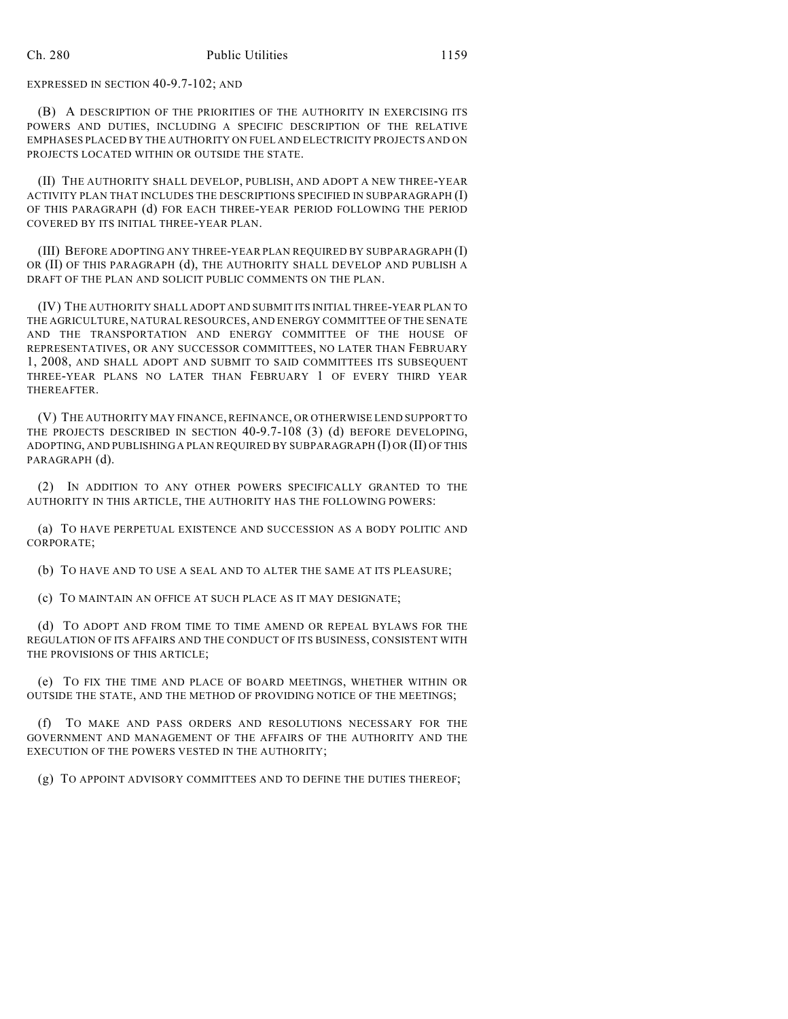EXPRESSED IN SECTION 40-9.7-102; AND

(B) A DESCRIPTION OF THE PRIORITIES OF THE AUTHORITY IN EXERCISING ITS POWERS AND DUTIES, INCLUDING A SPECIFIC DESCRIPTION OF THE RELATIVE EMPHASES PLACED BY THE AUTHORITY ON FUEL AND ELECTRICITY PROJECTS AND ON PROJECTS LOCATED WITHIN OR OUTSIDE THE STATE.

(II) THE AUTHORITY SHALL DEVELOP, PUBLISH, AND ADOPT A NEW THREE-YEAR ACTIVITY PLAN THAT INCLUDES THE DESCRIPTIONS SPECIFIED IN SUBPARAGRAPH (I) OF THIS PARAGRAPH (d) FOR EACH THREE-YEAR PERIOD FOLLOWING THE PERIOD COVERED BY ITS INITIAL THREE-YEAR PLAN.

(III) BEFORE ADOPTING ANY THREE-YEAR PLAN REQUIRED BY SUBPARAGRAPH (I) OR (II) OF THIS PARAGRAPH (d), THE AUTHORITY SHALL DEVELOP AND PUBLISH A DRAFT OF THE PLAN AND SOLICIT PUBLIC COMMENTS ON THE PLAN.

(IV) THE AUTHORITY SHALL ADOPT AND SUBMIT ITS INITIAL THREE-YEAR PLAN TO THE AGRICULTURE, NATURAL RESOURCES, AND ENERGY COMMITTEE OF THE SENATE AND THE TRANSPORTATION AND ENERGY COMMITTEE OF THE HOUSE OF REPRESENTATIVES, OR ANY SUCCESSOR COMMITTEES, NO LATER THAN FEBRUARY 1, 2008, AND SHALL ADOPT AND SUBMIT TO SAID COMMITTEES ITS SUBSEQUENT THREE-YEAR PLANS NO LATER THAN FEBRUARY 1 OF EVERY THIRD YEAR THEREAFTER.

(V) THE AUTHORITY MAY FINANCE, REFINANCE, OR OTHERWISE LEND SUPPORT TO THE PROJECTS DESCRIBED IN SECTION 40-9.7-108 (3) (d) BEFORE DEVELOPING, ADOPTING, AND PUBLISHING A PLAN REQUIRED BY SUBPARAGRAPH (I) OR (II) OF THIS PARAGRAPH (d).

(2) IN ADDITION TO ANY OTHER POWERS SPECIFICALLY GRANTED TO THE AUTHORITY IN THIS ARTICLE, THE AUTHORITY HAS THE FOLLOWING POWERS:

(a) TO HAVE PERPETUAL EXISTENCE AND SUCCESSION AS A BODY POLITIC AND CORPORATE;

(b) TO HAVE AND TO USE A SEAL AND TO ALTER THE SAME AT ITS PLEASURE;

(c) TO MAINTAIN AN OFFICE AT SUCH PLACE AS IT MAY DESIGNATE;

(d) TO ADOPT AND FROM TIME TO TIME AMEND OR REPEAL BYLAWS FOR THE REGULATION OF ITS AFFAIRS AND THE CONDUCT OF ITS BUSINESS, CONSISTENT WITH THE PROVISIONS OF THIS ARTICLE;

(e) TO FIX THE TIME AND PLACE OF BOARD MEETINGS, WHETHER WITHIN OR OUTSIDE THE STATE, AND THE METHOD OF PROVIDING NOTICE OF THE MEETINGS;

(f) TO MAKE AND PASS ORDERS AND RESOLUTIONS NECESSARY FOR THE GOVERNMENT AND MANAGEMENT OF THE AFFAIRS OF THE AUTHORITY AND THE EXECUTION OF THE POWERS VESTED IN THE AUTHORITY;

(g) TO APPOINT ADVISORY COMMITTEES AND TO DEFINE THE DUTIES THEREOF;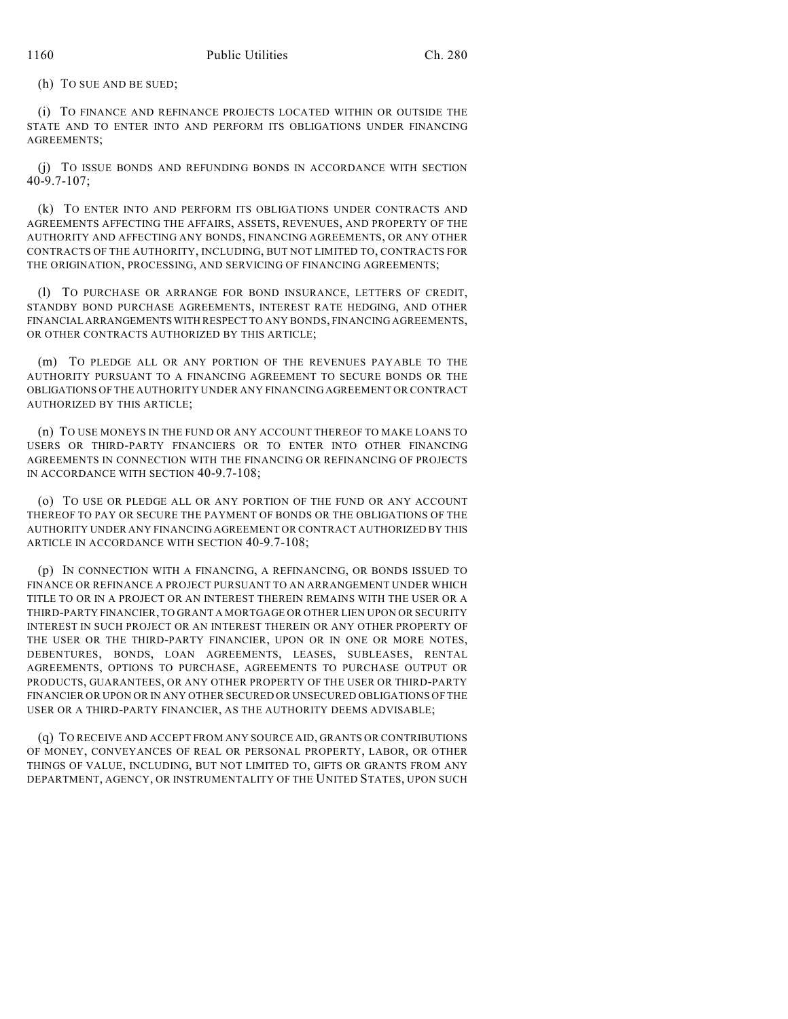(h) TO SUE AND BE SUED;

(i) TO FINANCE AND REFINANCE PROJECTS LOCATED WITHIN OR OUTSIDE THE STATE AND TO ENTER INTO AND PERFORM ITS OBLIGATIONS UNDER FINANCING AGREEMENTS;

(j) TO ISSUE BONDS AND REFUNDING BONDS IN ACCORDANCE WITH SECTION 40-9.7-107;

(k) TO ENTER INTO AND PERFORM ITS OBLIGATIONS UNDER CONTRACTS AND AGREEMENTS AFFECTING THE AFFAIRS, ASSETS, REVENUES, AND PROPERTY OF THE AUTHORITY AND AFFECTING ANY BONDS, FINANCING AGREEMENTS, OR ANY OTHER CONTRACTS OF THE AUTHORITY, INCLUDING, BUT NOT LIMITED TO, CONTRACTS FOR THE ORIGINATION, PROCESSING, AND SERVICING OF FINANCING AGREEMENTS;

(l) TO PURCHASE OR ARRANGE FOR BOND INSURANCE, LETTERS OF CREDIT, STANDBY BOND PURCHASE AGREEMENTS, INTEREST RATE HEDGING, AND OTHER FINANCIAL ARRANGEMENTS WITH RESPECT TO ANY BONDS, FINANCING AGREEMENTS, OR OTHER CONTRACTS AUTHORIZED BY THIS ARTICLE;

(m) TO PLEDGE ALL OR ANY PORTION OF THE REVENUES PAYABLE TO THE AUTHORITY PURSUANT TO A FINANCING AGREEMENT TO SECURE BONDS OR THE OBLIGATIONS OF THE AUTHORITY UNDER ANY FINANCING AGREEMENT OR CONTRACT AUTHORIZED BY THIS ARTICLE;

(n) TO USE MONEYS IN THE FUND OR ANY ACCOUNT THEREOF TO MAKE LOANS TO USERS OR THIRD-PARTY FINANCIERS OR TO ENTER INTO OTHER FINANCING AGREEMENTS IN CONNECTION WITH THE FINANCING OR REFINANCING OF PROJECTS IN ACCORDANCE WITH SECTION 40-9.7-108;

(o) TO USE OR PLEDGE ALL OR ANY PORTION OF THE FUND OR ANY ACCOUNT THEREOF TO PAY OR SECURE THE PAYMENT OF BONDS OR THE OBLIGATIONS OF THE AUTHORITY UNDER ANY FINANCING AGREEMENT OR CONTRACT AUTHORIZED BY THIS ARTICLE IN ACCORDANCE WITH SECTION 40-9.7-108;

(p) IN CONNECTION WITH A FINANCING, A REFINANCING, OR BONDS ISSUED TO FINANCE OR REFINANCE A PROJECT PURSUANT TO AN ARRANGEMENT UNDER WHICH TITLE TO OR IN A PROJECT OR AN INTEREST THEREIN REMAINS WITH THE USER OR A THIRD-PARTY FINANCIER, TO GRANT A MORTGAGE OR OTHER LIEN UPON OR SECURITY INTEREST IN SUCH PROJECT OR AN INTEREST THEREIN OR ANY OTHER PROPERTY OF THE USER OR THE THIRD-PARTY FINANCIER, UPON OR IN ONE OR MORE NOTES, DEBENTURES, BONDS, LOAN AGREEMENTS, LEASES, SUBLEASES, RENTAL AGREEMENTS, OPTIONS TO PURCHASE, AGREEMENTS TO PURCHASE OUTPUT OR PRODUCTS, GUARANTEES, OR ANY OTHER PROPERTY OF THE USER OR THIRD-PARTY FINANCIER OR UPON OR IN ANY OTHER SECURED OR UNSECURED OBLIGATIONS OF THE USER OR A THIRD-PARTY FINANCIER, AS THE AUTHORITY DEEMS ADVISABLE;

(q) TO RECEIVE AND ACCEPT FROM ANY SOURCE AID, GRANTS OR CONTRIBUTIONS OF MONEY, CONVEYANCES OF REAL OR PERSONAL PROPERTY, LABOR, OR OTHER THINGS OF VALUE, INCLUDING, BUT NOT LIMITED TO, GIFTS OR GRANTS FROM ANY DEPARTMENT, AGENCY, OR INSTRUMENTALITY OF THE UNITED STATES, UPON SUCH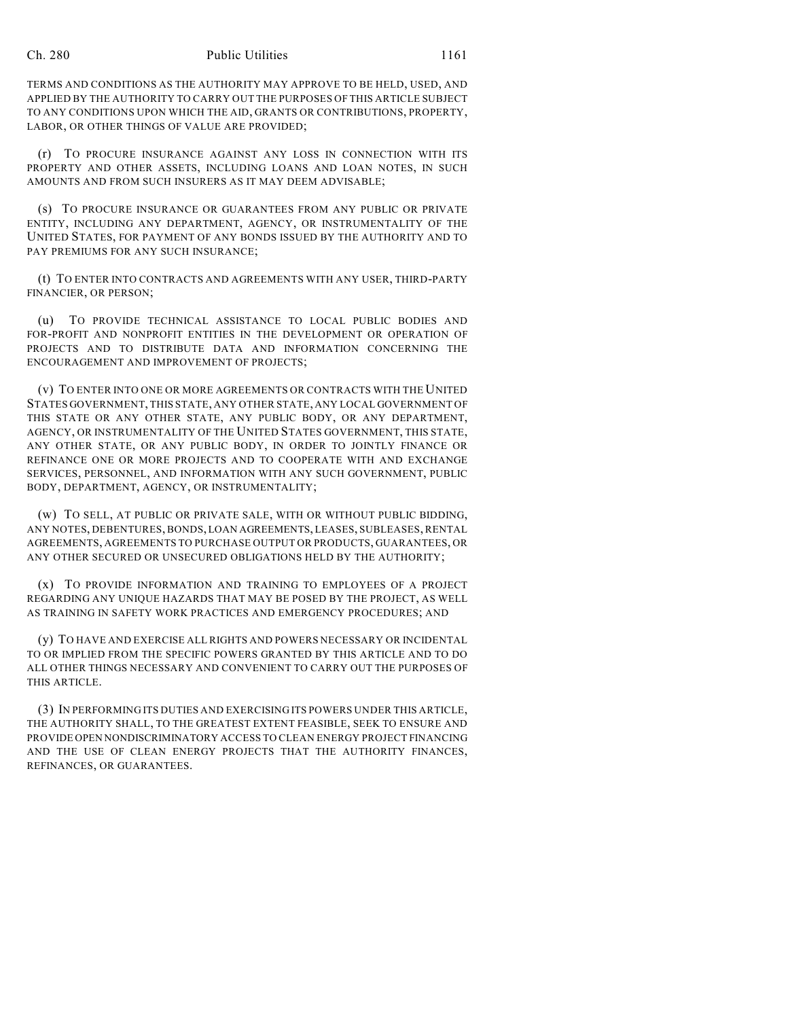#### Ch. 280 Public Utilities 1161

TERMS AND CONDITIONS AS THE AUTHORITY MAY APPROVE TO BE HELD, USED, AND APPLIED BY THE AUTHORITY TO CARRY OUT THE PURPOSES OF THIS ARTICLE SUBJECT TO ANY CONDITIONS UPON WHICH THE AID, GRANTS OR CONTRIBUTIONS, PROPERTY, LABOR, OR OTHER THINGS OF VALUE ARE PROVIDED;

(r) TO PROCURE INSURANCE AGAINST ANY LOSS IN CONNECTION WITH ITS PROPERTY AND OTHER ASSETS, INCLUDING LOANS AND LOAN NOTES, IN SUCH AMOUNTS AND FROM SUCH INSURERS AS IT MAY DEEM ADVISABLE;

(s) TO PROCURE INSURANCE OR GUARANTEES FROM ANY PUBLIC OR PRIVATE ENTITY, INCLUDING ANY DEPARTMENT, AGENCY, OR INSTRUMENTALITY OF THE UNITED STATES, FOR PAYMENT OF ANY BONDS ISSUED BY THE AUTHORITY AND TO PAY PREMIUMS FOR ANY SUCH INSURANCE;

(t) TO ENTER INTO CONTRACTS AND AGREEMENTS WITH ANY USER, THIRD-PARTY FINANCIER, OR PERSON;

(u) TO PROVIDE TECHNICAL ASSISTANCE TO LOCAL PUBLIC BODIES AND FOR-PROFIT AND NONPROFIT ENTITIES IN THE DEVELOPMENT OR OPERATION OF PROJECTS AND TO DISTRIBUTE DATA AND INFORMATION CONCERNING THE ENCOURAGEMENT AND IMPROVEMENT OF PROJECTS;

(v) TO ENTER INTO ONE OR MORE AGREEMENTS OR CONTRACTS WITH THE UNITED STATES GOVERNMENT, THIS STATE, ANY OTHER STATE, ANY LOCAL GOVERNMENT OF THIS STATE OR ANY OTHER STATE, ANY PUBLIC BODY, OR ANY DEPARTMENT, AGENCY, OR INSTRUMENTALITY OF THE UNITED STATES GOVERNMENT, THIS STATE, ANY OTHER STATE, OR ANY PUBLIC BODY, IN ORDER TO JOINTLY FINANCE OR REFINANCE ONE OR MORE PROJECTS AND TO COOPERATE WITH AND EXCHANGE SERVICES, PERSONNEL, AND INFORMATION WITH ANY SUCH GOVERNMENT, PUBLIC BODY, DEPARTMENT, AGENCY, OR INSTRUMENTALITY;

(w) TO SELL, AT PUBLIC OR PRIVATE SALE, WITH OR WITHOUT PUBLIC BIDDING, ANY NOTES, DEBENTURES, BONDS, LOAN AGREEMENTS, LEASES, SUBLEASES, RENTAL AGREEMENTS, AGREEMENTS TO PURCHASE OUTPUT OR PRODUCTS, GUARANTEES, OR ANY OTHER SECURED OR UNSECURED OBLIGATIONS HELD BY THE AUTHORITY;

(x) TO PROVIDE INFORMATION AND TRAINING TO EMPLOYEES OF A PROJECT REGARDING ANY UNIQUE HAZARDS THAT MAY BE POSED BY THE PROJECT, AS WELL AS TRAINING IN SAFETY WORK PRACTICES AND EMERGENCY PROCEDURES; AND

(y) TO HAVE AND EXERCISE ALL RIGHTS AND POWERS NECESSARY OR INCIDENTAL TO OR IMPLIED FROM THE SPECIFIC POWERS GRANTED BY THIS ARTICLE AND TO DO ALL OTHER THINGS NECESSARY AND CONVENIENT TO CARRY OUT THE PURPOSES OF THIS ARTICLE.

(3) IN PERFORMING ITS DUTIES AND EXERCISING ITS POWERS UNDER THIS ARTICLE, THE AUTHORITY SHALL, TO THE GREATEST EXTENT FEASIBLE, SEEK TO ENSURE AND PROVIDE OPEN NONDISCRIMINATORY ACCESS TO CLEAN ENERGY PROJECT FINANCING AND THE USE OF CLEAN ENERGY PROJECTS THAT THE AUTHORITY FINANCES, REFINANCES, OR GUARANTEES.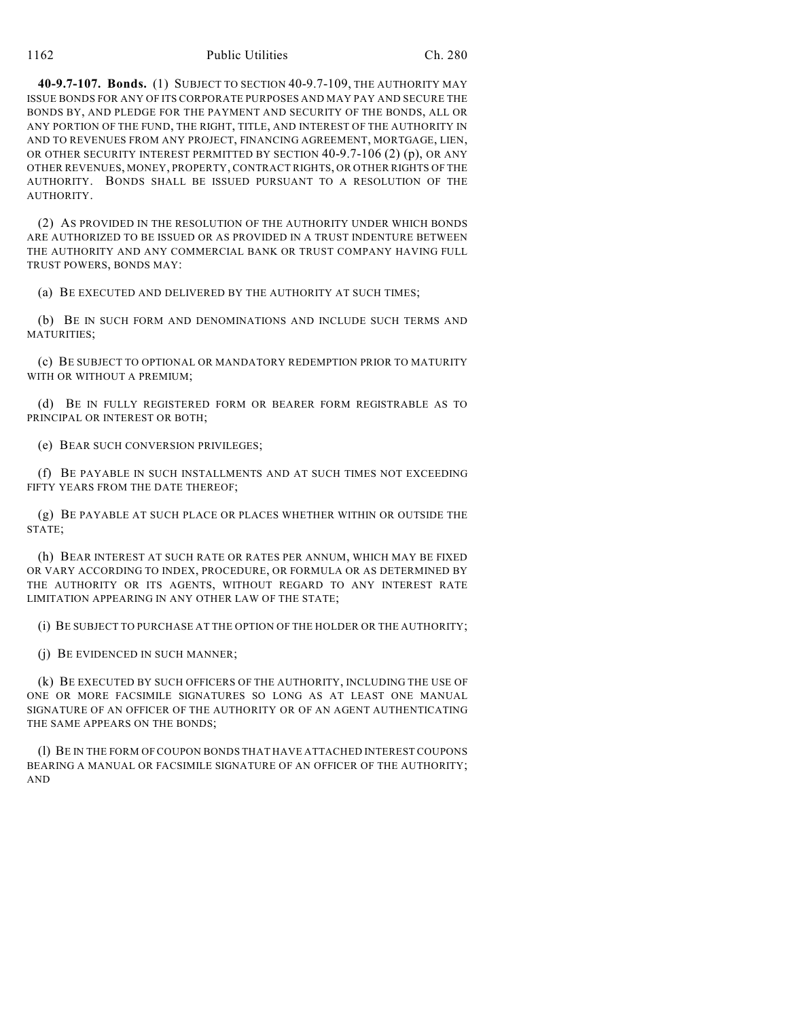#### 1162 Public Utilities Ch. 280

**40-9.7-107. Bonds.** (1) SUBJECT TO SECTION 40-9.7-109, THE AUTHORITY MAY ISSUE BONDS FOR ANY OF ITS CORPORATE PURPOSES AND MAY PAY AND SECURE THE BONDS BY, AND PLEDGE FOR THE PAYMENT AND SECURITY OF THE BONDS, ALL OR ANY PORTION OF THE FUND, THE RIGHT, TITLE, AND INTEREST OF THE AUTHORITY IN AND TO REVENUES FROM ANY PROJECT, FINANCING AGREEMENT, MORTGAGE, LIEN, OR OTHER SECURITY INTEREST PERMITTED BY SECTION 40-9.7-106 (2) (p), OR ANY OTHER REVENUES, MONEY, PROPERTY, CONTRACT RIGHTS, OR OTHER RIGHTS OF THE AUTHORITY. BONDS SHALL BE ISSUED PURSUANT TO A RESOLUTION OF THE AUTHORITY.

(2) AS PROVIDED IN THE RESOLUTION OF THE AUTHORITY UNDER WHICH BONDS ARE AUTHORIZED TO BE ISSUED OR AS PROVIDED IN A TRUST INDENTURE BETWEEN THE AUTHORITY AND ANY COMMERCIAL BANK OR TRUST COMPANY HAVING FULL TRUST POWERS, BONDS MAY:

(a) BE EXECUTED AND DELIVERED BY THE AUTHORITY AT SUCH TIMES;

(b) BE IN SUCH FORM AND DENOMINATIONS AND INCLUDE SUCH TERMS AND MATURITIES;

(c) BE SUBJECT TO OPTIONAL OR MANDATORY REDEMPTION PRIOR TO MATURITY WITH OR WITHOUT A PREMIUM;

(d) BE IN FULLY REGISTERED FORM OR BEARER FORM REGISTRABLE AS TO PRINCIPAL OR INTEREST OR BOTH;

(e) BEAR SUCH CONVERSION PRIVILEGES;

(f) BE PAYABLE IN SUCH INSTALLMENTS AND AT SUCH TIMES NOT EXCEEDING FIFTY YEARS FROM THE DATE THEREOF;

(g) BE PAYABLE AT SUCH PLACE OR PLACES WHETHER WITHIN OR OUTSIDE THE STATE;

(h) BEAR INTEREST AT SUCH RATE OR RATES PER ANNUM, WHICH MAY BE FIXED OR VARY ACCORDING TO INDEX, PROCEDURE, OR FORMULA OR AS DETERMINED BY THE AUTHORITY OR ITS AGENTS, WITHOUT REGARD TO ANY INTEREST RATE LIMITATION APPEARING IN ANY OTHER LAW OF THE STATE;

(i) BE SUBJECT TO PURCHASE AT THE OPTION OF THE HOLDER OR THE AUTHORITY;

(j) BE EVIDENCED IN SUCH MANNER;

(k) BE EXECUTED BY SUCH OFFICERS OF THE AUTHORITY, INCLUDING THE USE OF ONE OR MORE FACSIMILE SIGNATURES SO LONG AS AT LEAST ONE MANUAL SIGNATURE OF AN OFFICER OF THE AUTHORITY OR OF AN AGENT AUTHENTICATING THE SAME APPEARS ON THE BONDS;

(l) BE IN THE FORM OF COUPON BONDS THAT HAVE ATTACHED INTEREST COUPONS BEARING A MANUAL OR FACSIMILE SIGNATURE OF AN OFFICER OF THE AUTHORITY; AND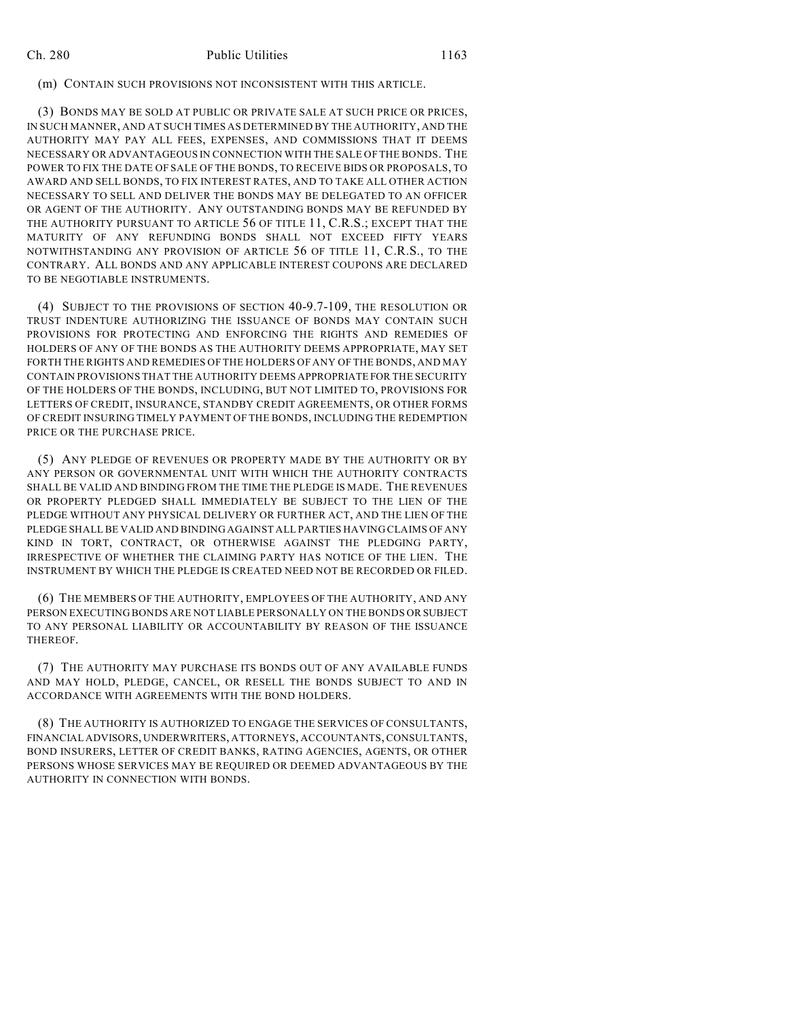#### (m) CONTAIN SUCH PROVISIONS NOT INCONSISTENT WITH THIS ARTICLE.

(3) BONDS MAY BE SOLD AT PUBLIC OR PRIVATE SALE AT SUCH PRICE OR PRICES, IN SUCH MANNER, AND AT SUCH TIMES AS DETERMINED BY THE AUTHORITY, AND THE AUTHORITY MAY PAY ALL FEES, EXPENSES, AND COMMISSIONS THAT IT DEEMS NECESSARY OR ADVANTAGEOUS IN CONNECTION WITH THE SALE OF THE BONDS. THE POWER TO FIX THE DATE OF SALE OF THE BONDS, TO RECEIVE BIDS OR PROPOSALS, TO AWARD AND SELL BONDS, TO FIX INTEREST RATES, AND TO TAKE ALL OTHER ACTION NECESSARY TO SELL AND DELIVER THE BONDS MAY BE DELEGATED TO AN OFFICER OR AGENT OF THE AUTHORITY. ANY OUTSTANDING BONDS MAY BE REFUNDED BY THE AUTHORITY PURSUANT TO ARTICLE 56 OF TITLE 11, C.R.S.; EXCEPT THAT THE MATURITY OF ANY REFUNDING BONDS SHALL NOT EXCEED FIFTY YEARS NOTWITHSTANDING ANY PROVISION OF ARTICLE 56 OF TITLE 11, C.R.S., TO THE CONTRARY. ALL BONDS AND ANY APPLICABLE INTEREST COUPONS ARE DECLARED TO BE NEGOTIABLE INSTRUMENTS.

(4) SUBJECT TO THE PROVISIONS OF SECTION 40-9.7-109, THE RESOLUTION OR TRUST INDENTURE AUTHORIZING THE ISSUANCE OF BONDS MAY CONTAIN SUCH PROVISIONS FOR PROTECTING AND ENFORCING THE RIGHTS AND REMEDIES OF HOLDERS OF ANY OF THE BONDS AS THE AUTHORITY DEEMS APPROPRIATE, MAY SET FORTH THE RIGHTS AND REMEDIES OF THE HOLDERS OF ANY OF THE BONDS, AND MAY CONTAIN PROVISIONS THAT THE AUTHORITY DEEMS APPROPRIATE FOR THE SECURITY OF THE HOLDERS OF THE BONDS, INCLUDING, BUT NOT LIMITED TO, PROVISIONS FOR LETTERS OF CREDIT, INSURANCE, STANDBY CREDIT AGREEMENTS, OR OTHER FORMS OF CREDIT INSURING TIMELY PAYMENT OF THE BONDS, INCLUDING THE REDEMPTION PRICE OR THE PURCHASE PRICE.

(5) ANY PLEDGE OF REVENUES OR PROPERTY MADE BY THE AUTHORITY OR BY ANY PERSON OR GOVERNMENTAL UNIT WITH WHICH THE AUTHORITY CONTRACTS SHALL BE VALID AND BINDING FROM THE TIME THE PLEDGE IS MADE. THE REVENUES OR PROPERTY PLEDGED SHALL IMMEDIATELY BE SUBJECT TO THE LIEN OF THE PLEDGE WITHOUT ANY PHYSICAL DELIVERY OR FURTHER ACT, AND THE LIEN OF THE PLEDGE SHALL BE VALID AND BINDING AGAINST ALL PARTIES HAVING CLAIMS OF ANY KIND IN TORT, CONTRACT, OR OTHERWISE AGAINST THE PLEDGING PARTY, IRRESPECTIVE OF WHETHER THE CLAIMING PARTY HAS NOTICE OF THE LIEN. THE INSTRUMENT BY WHICH THE PLEDGE IS CREATED NEED NOT BE RECORDED OR FILED.

(6) THE MEMBERS OF THE AUTHORITY, EMPLOYEES OF THE AUTHORITY, AND ANY PERSON EXECUTING BONDS ARE NOT LIABLE PERSONALLY ON THE BONDS OR SUBJECT TO ANY PERSONAL LIABILITY OR ACCOUNTABILITY BY REASON OF THE ISSUANCE THEREOF.

(7) THE AUTHORITY MAY PURCHASE ITS BONDS OUT OF ANY AVAILABLE FUNDS AND MAY HOLD, PLEDGE, CANCEL, OR RESELL THE BONDS SUBJECT TO AND IN ACCORDANCE WITH AGREEMENTS WITH THE BOND HOLDERS.

(8) THE AUTHORITY IS AUTHORIZED TO ENGAGE THE SERVICES OF CONSULTANTS, FINANCIAL ADVISORS, UNDERWRITERS, ATTORNEYS, ACCOUNTANTS, CONSULTANTS, BOND INSURERS, LETTER OF CREDIT BANKS, RATING AGENCIES, AGENTS, OR OTHER PERSONS WHOSE SERVICES MAY BE REQUIRED OR DEEMED ADVANTAGEOUS BY THE AUTHORITY IN CONNECTION WITH BONDS.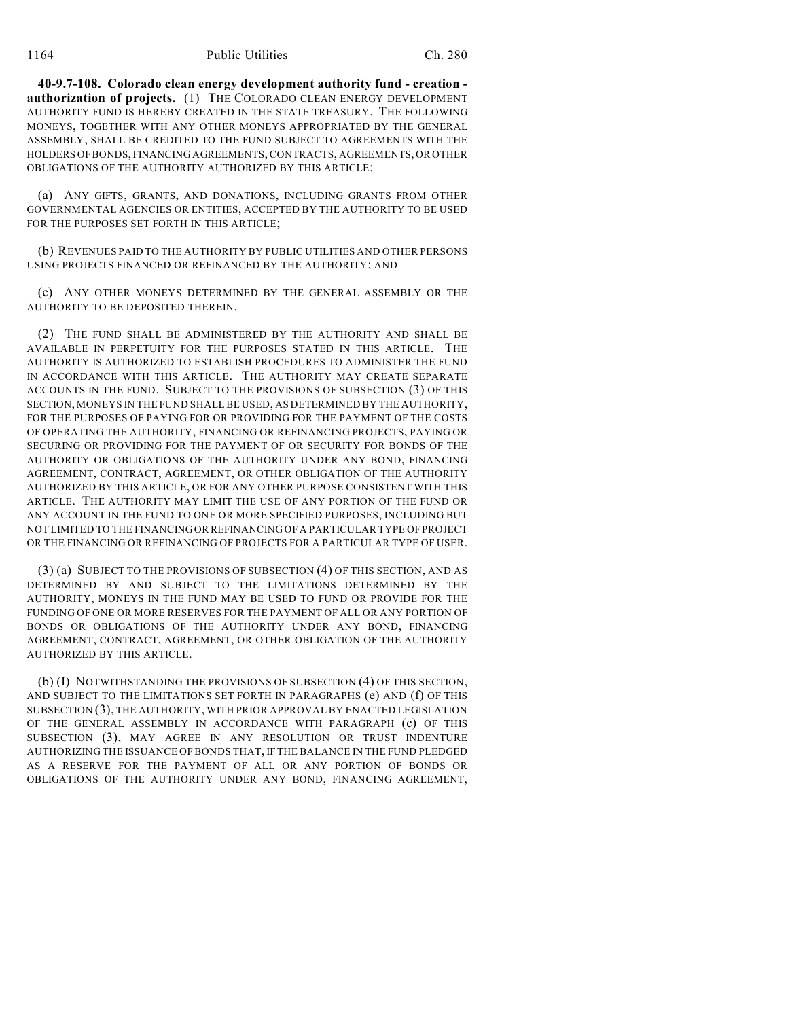**40-9.7-108. Colorado clean energy development authority fund - creation authorization of projects.** (1) THE COLORADO CLEAN ENERGY DEVELOPMENT AUTHORITY FUND IS HEREBY CREATED IN THE STATE TREASURY. THE FOLLOWING MONEYS, TOGETHER WITH ANY OTHER MONEYS APPROPRIATED BY THE GENERAL ASSEMBLY, SHALL BE CREDITED TO THE FUND SUBJECT TO AGREEMENTS WITH THE HOLDERS OF BONDS, FINANCING AGREEMENTS, CONTRACTS, AGREEMENTS, OR OTHER OBLIGATIONS OF THE AUTHORITY AUTHORIZED BY THIS ARTICLE:

(a) ANY GIFTS, GRANTS, AND DONATIONS, INCLUDING GRANTS FROM OTHER GOVERNMENTAL AGENCIES OR ENTITIES, ACCEPTED BY THE AUTHORITY TO BE USED FOR THE PURPOSES SET FORTH IN THIS ARTICLE;

(b) REVENUES PAID TO THE AUTHORITY BY PUBLIC UTILITIES AND OTHER PERSONS USING PROJECTS FINANCED OR REFINANCED BY THE AUTHORITY; AND

(c) ANY OTHER MONEYS DETERMINED BY THE GENERAL ASSEMBLY OR THE AUTHORITY TO BE DEPOSITED THEREIN.

(2) THE FUND SHALL BE ADMINISTERED BY THE AUTHORITY AND SHALL BE AVAILABLE IN PERPETUITY FOR THE PURPOSES STATED IN THIS ARTICLE. THE AUTHORITY IS AUTHORIZED TO ESTABLISH PROCEDURES TO ADMINISTER THE FUND IN ACCORDANCE WITH THIS ARTICLE. THE AUTHORITY MAY CREATE SEPARATE ACCOUNTS IN THE FUND. SUBJECT TO THE PROVISIONS OF SUBSECTION (3) OF THIS SECTION, MONEYS IN THE FUND SHALL BE USED, AS DETERMINED BY THE AUTHORITY, FOR THE PURPOSES OF PAYING FOR OR PROVIDING FOR THE PAYMENT OF THE COSTS OF OPERATING THE AUTHORITY, FINANCING OR REFINANCING PROJECTS, PAYING OR SECURING OR PROVIDING FOR THE PAYMENT OF OR SECURITY FOR BONDS OF THE AUTHORITY OR OBLIGATIONS OF THE AUTHORITY UNDER ANY BOND, FINANCING AGREEMENT, CONTRACT, AGREEMENT, OR OTHER OBLIGATION OF THE AUTHORITY AUTHORIZED BY THIS ARTICLE, OR FOR ANY OTHER PURPOSE CONSISTENT WITH THIS ARTICLE. THE AUTHORITY MAY LIMIT THE USE OF ANY PORTION OF THE FUND OR ANY ACCOUNT IN THE FUND TO ONE OR MORE SPECIFIED PURPOSES, INCLUDING BUT NOT LIMITED TO THE FINANCING OR REFINANCING OF A PARTICULAR TYPE OF PROJECT OR THE FINANCING OR REFINANCING OF PROJECTS FOR A PARTICULAR TYPE OF USER.

(3) (a) SUBJECT TO THE PROVISIONS OF SUBSECTION (4) OF THIS SECTION, AND AS DETERMINED BY AND SUBJECT TO THE LIMITATIONS DETERMINED BY THE AUTHORITY, MONEYS IN THE FUND MAY BE USED TO FUND OR PROVIDE FOR THE FUNDING OF ONE OR MORE RESERVES FOR THE PAYMENT OF ALL OR ANY PORTION OF BONDS OR OBLIGATIONS OF THE AUTHORITY UNDER ANY BOND, FINANCING AGREEMENT, CONTRACT, AGREEMENT, OR OTHER OBLIGATION OF THE AUTHORITY AUTHORIZED BY THIS ARTICLE.

(b) (I) NOTWITHSTANDING THE PROVISIONS OF SUBSECTION (4) OF THIS SECTION, AND SUBJECT TO THE LIMITATIONS SET FORTH IN PARAGRAPHS (e) AND (f) OF THIS SUBSECTION (3), THE AUTHORITY, WITH PRIOR APPROVAL BY ENACTED LEGISLATION OF THE GENERAL ASSEMBLY IN ACCORDANCE WITH PARAGRAPH (c) OF THIS SUBSECTION (3), MAY AGREE IN ANY RESOLUTION OR TRUST INDENTURE AUTHORIZING THE ISSUANCE OF BONDS THAT, IFTHE BALANCE IN THE FUND PLEDGED AS A RESERVE FOR THE PAYMENT OF ALL OR ANY PORTION OF BONDS OR OBLIGATIONS OF THE AUTHORITY UNDER ANY BOND, FINANCING AGREEMENT,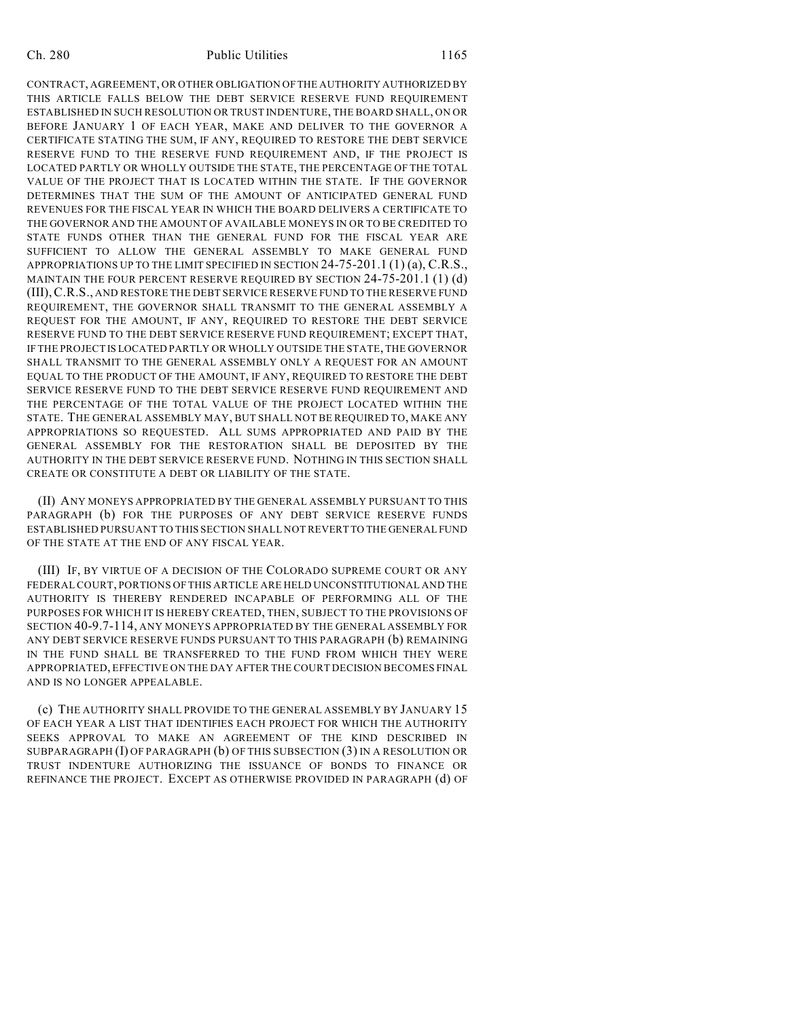#### Ch. 280 Public Utilities 1165

CONTRACT, AGREEMENT, OR OTHER OBLIGATION OF THE AUTHORITY AUTHORIZED BY THIS ARTICLE FALLS BELOW THE DEBT SERVICE RESERVE FUND REQUIREMENT ESTABLISHED IN SUCH RESOLUTION OR TRUST INDENTURE, THE BOARD SHALL, ON OR BEFORE JANUARY 1 OF EACH YEAR, MAKE AND DELIVER TO THE GOVERNOR A CERTIFICATE STATING THE SUM, IF ANY, REQUIRED TO RESTORE THE DEBT SERVICE RESERVE FUND TO THE RESERVE FUND REQUIREMENT AND, IF THE PROJECT IS LOCATED PARTLY OR WHOLLY OUTSIDE THE STATE, THE PERCENTAGE OF THE TOTAL VALUE OF THE PROJECT THAT IS LOCATED WITHIN THE STATE. IF THE GOVERNOR DETERMINES THAT THE SUM OF THE AMOUNT OF ANTICIPATED GENERAL FUND REVENUES FOR THE FISCAL YEAR IN WHICH THE BOARD DELIVERS A CERTIFICATE TO THE GOVERNOR AND THE AMOUNT OF AVAILABLE MONEYS IN OR TO BE CREDITED TO STATE FUNDS OTHER THAN THE GENERAL FUND FOR THE FISCAL YEAR ARE SUFFICIENT TO ALLOW THE GENERAL ASSEMBLY TO MAKE GENERAL FUND APPROPRIATIONS UP TO THE LIMIT SPECIFIED IN SECTION 24-75-201.1 (1) (a), C.R.S., MAINTAIN THE FOUR PERCENT RESERVE REQUIRED BY SECTION 24-75-201.1 (1) (d) (III),C.R.S., AND RESTORE THE DEBT SERVICE RESERVE FUND TO THE RESERVE FUND REQUIREMENT, THE GOVERNOR SHALL TRANSMIT TO THE GENERAL ASSEMBLY A REQUEST FOR THE AMOUNT, IF ANY, REQUIRED TO RESTORE THE DEBT SERVICE RESERVE FUND TO THE DEBT SERVICE RESERVE FUND REQUIREMENT; EXCEPT THAT, IF THE PROJECT IS LOCATED PARTLY OR WHOLLY OUTSIDE THE STATE, THE GOVERNOR SHALL TRANSMIT TO THE GENERAL ASSEMBLY ONLY A REQUEST FOR AN AMOUNT EQUAL TO THE PRODUCT OF THE AMOUNT, IF ANY, REQUIRED TO RESTORE THE DEBT SERVICE RESERVE FUND TO THE DEBT SERVICE RESERVE FUND REQUIREMENT AND THE PERCENTAGE OF THE TOTAL VALUE OF THE PROJECT LOCATED WITHIN THE STATE. THE GENERAL ASSEMBLY MAY, BUT SHALL NOT BE REQUIRED TO, MAKE ANY APPROPRIATIONS SO REQUESTED. ALL SUMS APPROPRIATED AND PAID BY THE GENERAL ASSEMBLY FOR THE RESTORATION SHALL BE DEPOSITED BY THE AUTHORITY IN THE DEBT SERVICE RESERVE FUND. NOTHING IN THIS SECTION SHALL CREATE OR CONSTITUTE A DEBT OR LIABILITY OF THE STATE.

(II) ANY MONEYS APPROPRIATED BY THE GENERAL ASSEMBLY PURSUANT TO THIS PARAGRAPH (b) FOR THE PURPOSES OF ANY DEBT SERVICE RESERVE FUNDS ESTABLISHED PURSUANT TO THIS SECTION SHALL NOT REVERT TO THE GENERAL FUND OF THE STATE AT THE END OF ANY FISCAL YEAR.

(III) IF, BY VIRTUE OF A DECISION OF THE COLORADO SUPREME COURT OR ANY FEDERAL COURT, PORTIONS OF THIS ARTICLE ARE HELD UNCONSTITUTIONAL AND THE AUTHORITY IS THEREBY RENDERED INCAPABLE OF PERFORMING ALL OF THE PURPOSES FOR WHICH IT IS HEREBY CREATED, THEN, SUBJECT TO THE PROVISIONS OF SECTION 40-9.7-114, ANY MONEYS APPROPRIATED BY THE GENERAL ASSEMBLY FOR ANY DEBT SERVICE RESERVE FUNDS PURSUANT TO THIS PARAGRAPH (b) REMAINING IN THE FUND SHALL BE TRANSFERRED TO THE FUND FROM WHICH THEY WERE APPROPRIATED, EFFECTIVE ON THE DAY AFTER THE COURT DECISION BECOMES FINAL AND IS NO LONGER APPEALABLE.

(c) THE AUTHORITY SHALL PROVIDE TO THE GENERAL ASSEMBLY BY JANUARY 15 OF EACH YEAR A LIST THAT IDENTIFIES EACH PROJECT FOR WHICH THE AUTHORITY SEEKS APPROVAL TO MAKE AN AGREEMENT OF THE KIND DESCRIBED IN SUBPARAGRAPH (I) OF PARAGRAPH (b) OF THIS SUBSECTION (3) IN A RESOLUTION OR TRUST INDENTURE AUTHORIZING THE ISSUANCE OF BONDS TO FINANCE OR REFINANCE THE PROJECT. EXCEPT AS OTHERWISE PROVIDED IN PARAGRAPH (d) OF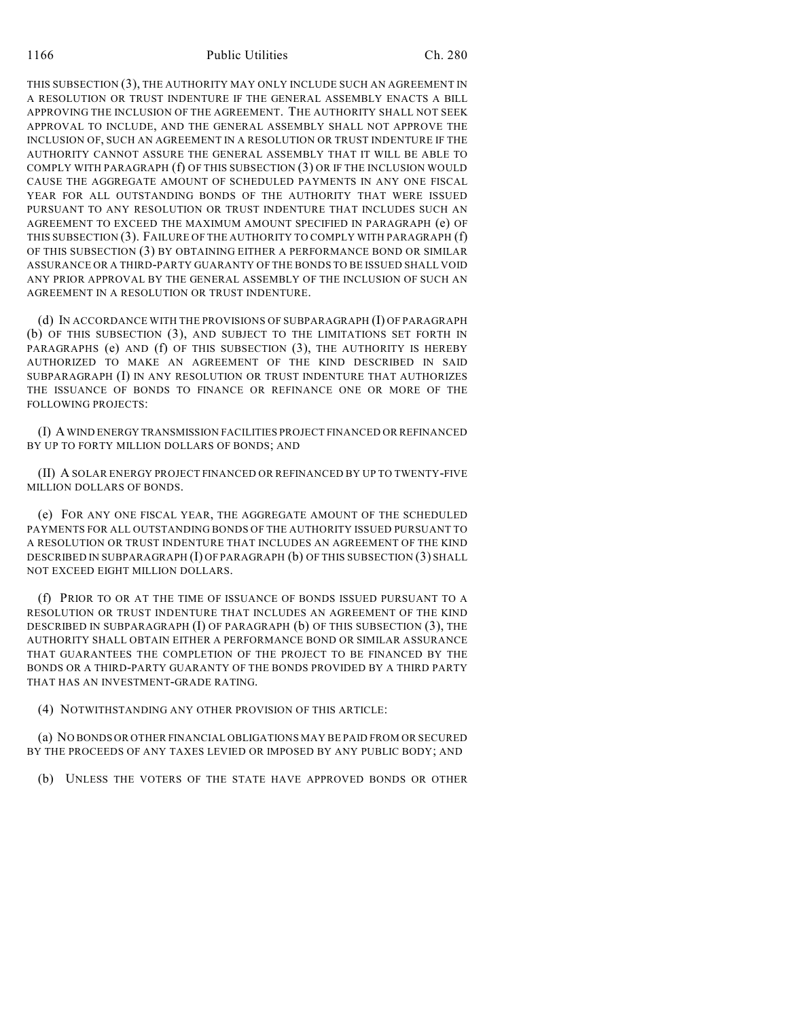THIS SUBSECTION (3), THE AUTHORITY MAY ONLY INCLUDE SUCH AN AGREEMENT IN A RESOLUTION OR TRUST INDENTURE IF THE GENERAL ASSEMBLY ENACTS A BILL APPROVING THE INCLUSION OF THE AGREEMENT. THE AUTHORITY SHALL NOT SEEK APPROVAL TO INCLUDE, AND THE GENERAL ASSEMBLY SHALL NOT APPROVE THE INCLUSION OF, SUCH AN AGREEMENT IN A RESOLUTION OR TRUST INDENTURE IF THE AUTHORITY CANNOT ASSURE THE GENERAL ASSEMBLY THAT IT WILL BE ABLE TO COMPLY WITH PARAGRAPH (f) OF THIS SUBSECTION (3) OR IF THE INCLUSION WOULD CAUSE THE AGGREGATE AMOUNT OF SCHEDULED PAYMENTS IN ANY ONE FISCAL YEAR FOR ALL OUTSTANDING BONDS OF THE AUTHORITY THAT WERE ISSUED PURSUANT TO ANY RESOLUTION OR TRUST INDENTURE THAT INCLUDES SUCH AN AGREEMENT TO EXCEED THE MAXIMUM AMOUNT SPECIFIED IN PARAGRAPH (e) OF THIS SUBSECTION (3). FAILURE OF THE AUTHORITY TO COMPLY WITH PARAGRAPH (f) OF THIS SUBSECTION (3) BY OBTAINING EITHER A PERFORMANCE BOND OR SIMILAR ASSURANCE OR A THIRD-PARTY GUARANTY OF THE BONDS TO BE ISSUED SHALL VOID ANY PRIOR APPROVAL BY THE GENERAL ASSEMBLY OF THE INCLUSION OF SUCH AN AGREEMENT IN A RESOLUTION OR TRUST INDENTURE.

(d) IN ACCORDANCE WITH THE PROVISIONS OF SUBPARAGRAPH (I) OF PARAGRAPH (b) OF THIS SUBSECTION (3), AND SUBJECT TO THE LIMITATIONS SET FORTH IN PARAGRAPHS (e) AND (f) OF THIS SUBSECTION (3), THE AUTHORITY IS HEREBY AUTHORIZED TO MAKE AN AGREEMENT OF THE KIND DESCRIBED IN SAID SUBPARAGRAPH (I) IN ANY RESOLUTION OR TRUST INDENTURE THAT AUTHORIZES THE ISSUANCE OF BONDS TO FINANCE OR REFINANCE ONE OR MORE OF THE FOLLOWING PROJECTS:

(I) A WIND ENERGY TRANSMISSION FACILITIES PROJECT FINANCED OR REFINANCED BY UP TO FORTY MILLION DOLLARS OF BONDS; AND

(II) A SOLAR ENERGY PROJECT FINANCED OR REFINANCED BY UP TO TWENTY-FIVE MILLION DOLLARS OF BONDS.

(e) FOR ANY ONE FISCAL YEAR, THE AGGREGATE AMOUNT OF THE SCHEDULED PAYMENTS FOR ALL OUTSTANDING BONDS OF THE AUTHORITY ISSUED PURSUANT TO A RESOLUTION OR TRUST INDENTURE THAT INCLUDES AN AGREEMENT OF THE KIND DESCRIBED IN SUBPARAGRAPH (I) OF PARAGRAPH (b) OF THIS SUBSECTION (3) SHALL NOT EXCEED EIGHT MILLION DOLLARS.

(f) PRIOR TO OR AT THE TIME OF ISSUANCE OF BONDS ISSUED PURSUANT TO A RESOLUTION OR TRUST INDENTURE THAT INCLUDES AN AGREEMENT OF THE KIND DESCRIBED IN SUBPARAGRAPH (I) OF PARAGRAPH (b) OF THIS SUBSECTION (3), THE AUTHORITY SHALL OBTAIN EITHER A PERFORMANCE BOND OR SIMILAR ASSURANCE THAT GUARANTEES THE COMPLETION OF THE PROJECT TO BE FINANCED BY THE BONDS OR A THIRD-PARTY GUARANTY OF THE BONDS PROVIDED BY A THIRD PARTY THAT HAS AN INVESTMENT-GRADE RATING.

(4) NOTWITHSTANDING ANY OTHER PROVISION OF THIS ARTICLE:

(a) NO BONDS OR OTHER FINANCIAL OBLIGATIONS MAY BE PAID FROM OR SECURED BY THE PROCEEDS OF ANY TAXES LEVIED OR IMPOSED BY ANY PUBLIC BODY; AND

(b) UNLESS THE VOTERS OF THE STATE HAVE APPROVED BONDS OR OTHER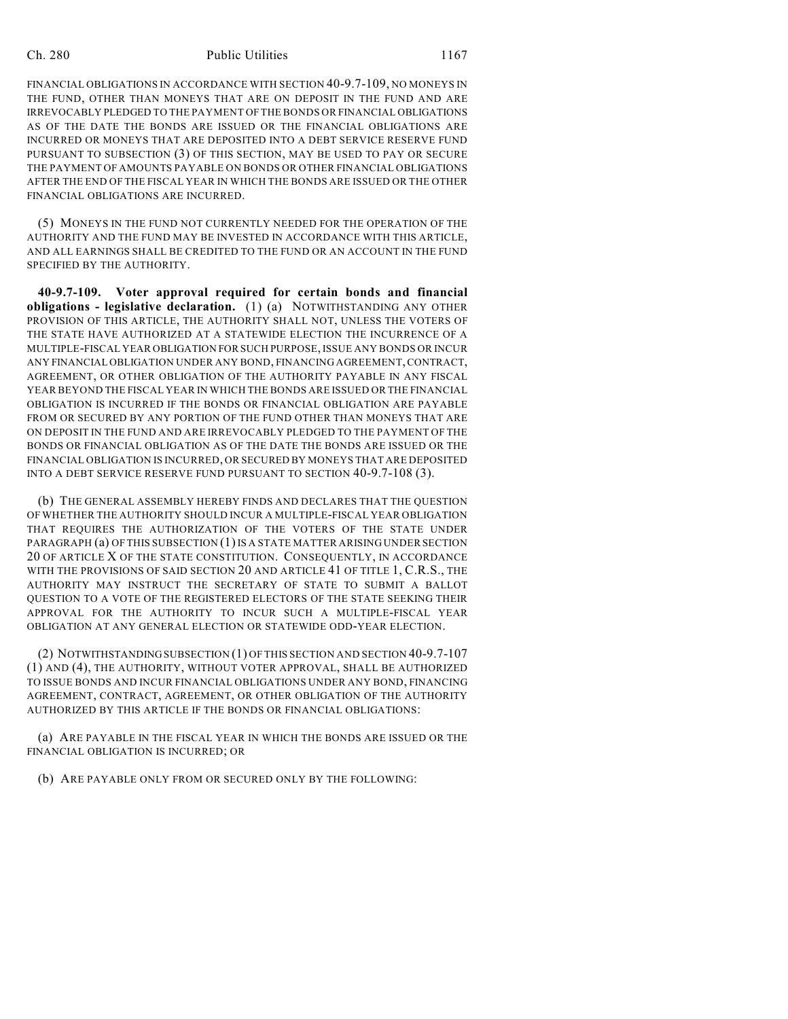#### Ch. 280 Public Utilities 1167

FINANCIAL OBLIGATIONS IN ACCORDANCE WITH SECTION 40-9.7-109, NO MONEYS IN THE FUND, OTHER THAN MONEYS THAT ARE ON DEPOSIT IN THE FUND AND ARE IRREVOCABLY PLEDGED TO THE PAYMENT OF THE BONDS OR FINANCIAL OBLIGATIONS AS OF THE DATE THE BONDS ARE ISSUED OR THE FINANCIAL OBLIGATIONS ARE INCURRED OR MONEYS THAT ARE DEPOSITED INTO A DEBT SERVICE RESERVE FUND PURSUANT TO SUBSECTION (3) OF THIS SECTION, MAY BE USED TO PAY OR SECURE THE PAYMENT OF AMOUNTS PAYABLE ON BONDS OR OTHER FINANCIAL OBLIGATIONS AFTER THE END OF THE FISCAL YEAR IN WHICH THE BONDS ARE ISSUED OR THE OTHER FINANCIAL OBLIGATIONS ARE INCURRED.

(5) MONEYS IN THE FUND NOT CURRENTLY NEEDED FOR THE OPERATION OF THE AUTHORITY AND THE FUND MAY BE INVESTED IN ACCORDANCE WITH THIS ARTICLE, AND ALL EARNINGS SHALL BE CREDITED TO THE FUND OR AN ACCOUNT IN THE FUND SPECIFIED BY THE AUTHORITY.

**40-9.7-109. Voter approval required for certain bonds and financial obligations - legislative declaration.** (1) (a) NOTWITHSTANDING ANY OTHER PROVISION OF THIS ARTICLE, THE AUTHORITY SHALL NOT, UNLESS THE VOTERS OF THE STATE HAVE AUTHORIZED AT A STATEWIDE ELECTION THE INCURRENCE OF A MULTIPLE-FISCAL YEAR OBLIGATION FOR SUCH PURPOSE, ISSUE ANY BONDS OR INCUR ANY FINANCIAL OBLIGATION UNDER ANY BOND, FINANCING AGREEMENT, CONTRACT, AGREEMENT, OR OTHER OBLIGATION OF THE AUTHORITY PAYABLE IN ANY FISCAL YEAR BEYOND THE FISCAL YEAR IN WHICH THE BONDS ARE ISSUED OR THE FINANCIAL OBLIGATION IS INCURRED IF THE BONDS OR FINANCIAL OBLIGATION ARE PAYABLE FROM OR SECURED BY ANY PORTION OF THE FUND OTHER THAN MONEYS THAT ARE ON DEPOSIT IN THE FUND AND ARE IRREVOCABLY PLEDGED TO THE PAYMENT OF THE BONDS OR FINANCIAL OBLIGATION AS OF THE DATE THE BONDS ARE ISSUED OR THE FINANCIAL OBLIGATION IS INCURRED, OR SECURED BY MONEYS THAT ARE DEPOSITED INTO A DEBT SERVICE RESERVE FUND PURSUANT TO SECTION 40-9.7-108 (3).

(b) THE GENERAL ASSEMBLY HEREBY FINDS AND DECLARES THAT THE QUESTION OF WHETHER THE AUTHORITY SHOULD INCUR A MULTIPLE-FISCAL YEAR OBLIGATION THAT REQUIRES THE AUTHORIZATION OF THE VOTERS OF THE STATE UNDER PARAGRAPH (a) OF THIS SUBSECTION (1) IS A STATE MATTER ARISING UNDER SECTION 20 OF ARTICLE X OF THE STATE CONSTITUTION. CONSEQUENTLY, IN ACCORDANCE WITH THE PROVISIONS OF SAID SECTION 20 AND ARTICLE 41 OF TITLE 1, C.R.S., THE AUTHORITY MAY INSTRUCT THE SECRETARY OF STATE TO SUBMIT A BALLOT QUESTION TO A VOTE OF THE REGISTERED ELECTORS OF THE STATE SEEKING THEIR APPROVAL FOR THE AUTHORITY TO INCUR SUCH A MULTIPLE-FISCAL YEAR OBLIGATION AT ANY GENERAL ELECTION OR STATEWIDE ODD-YEAR ELECTION.

(2) NOTWITHSTANDING SUBSECTION (1) OF THIS SECTION AND SECTION 40-9.7-107 (1) AND (4), THE AUTHORITY, WITHOUT VOTER APPROVAL, SHALL BE AUTHORIZED TO ISSUE BONDS AND INCUR FINANCIAL OBLIGATIONS UNDER ANY BOND, FINANCING AGREEMENT, CONTRACT, AGREEMENT, OR OTHER OBLIGATION OF THE AUTHORITY AUTHORIZED BY THIS ARTICLE IF THE BONDS OR FINANCIAL OBLIGATIONS:

(a) ARE PAYABLE IN THE FISCAL YEAR IN WHICH THE BONDS ARE ISSUED OR THE FINANCIAL OBLIGATION IS INCURRED; OR

(b) ARE PAYABLE ONLY FROM OR SECURED ONLY BY THE FOLLOWING: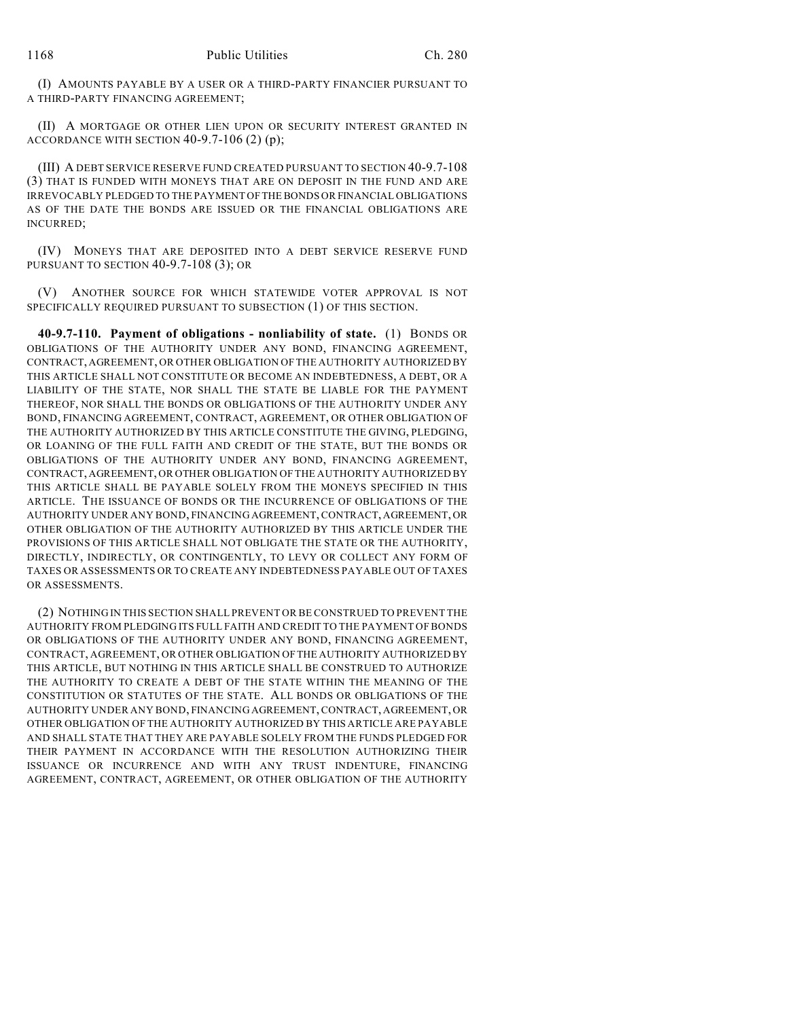(I) AMOUNTS PAYABLE BY A USER OR A THIRD-PARTY FINANCIER PURSUANT TO A THIRD-PARTY FINANCING AGREEMENT;

(II) A MORTGAGE OR OTHER LIEN UPON OR SECURITY INTEREST GRANTED IN ACCORDANCE WITH SECTION  $40-9.7-106$  (2) (p);

(III) A DEBT SERVICE RESERVE FUND CREATED PURSUANT TO SECTION 40-9.7-108 (3) THAT IS FUNDED WITH MONEYS THAT ARE ON DEPOSIT IN THE FUND AND ARE IRREVOCABLY PLEDGED TO THE PAYMENT OF THE BONDS OR FINANCIAL OBLIGATIONS AS OF THE DATE THE BONDS ARE ISSUED OR THE FINANCIAL OBLIGATIONS ARE INCURRED;

(IV) MONEYS THAT ARE DEPOSITED INTO A DEBT SERVICE RESERVE FUND PURSUANT TO SECTION 40-9.7-108 (3); OR

(V) ANOTHER SOURCE FOR WHICH STATEWIDE VOTER APPROVAL IS NOT SPECIFICALLY REQUIRED PURSUANT TO SUBSECTION (1) OF THIS SECTION.

**40-9.7-110. Payment of obligations - nonliability of state.** (1) BONDS OR OBLIGATIONS OF THE AUTHORITY UNDER ANY BOND, FINANCING AGREEMENT, CONTRACT, AGREEMENT, OR OTHER OBLIGATION OF THE AUTHORITY AUTHORIZED BY THIS ARTICLE SHALL NOT CONSTITUTE OR BECOME AN INDEBTEDNESS, A DEBT, OR A LIABILITY OF THE STATE, NOR SHALL THE STATE BE LIABLE FOR THE PAYMENT THEREOF, NOR SHALL THE BONDS OR OBLIGATIONS OF THE AUTHORITY UNDER ANY BOND, FINANCING AGREEMENT, CONTRACT, AGREEMENT, OR OTHER OBLIGATION OF THE AUTHORITY AUTHORIZED BY THIS ARTICLE CONSTITUTE THE GIVING, PLEDGING, OR LOANING OF THE FULL FAITH AND CREDIT OF THE STATE, BUT THE BONDS OR OBLIGATIONS OF THE AUTHORITY UNDER ANY BOND, FINANCING AGREEMENT, CONTRACT, AGREEMENT, OR OTHER OBLIGATION OF THE AUTHORITY AUTHORIZED BY THIS ARTICLE SHALL BE PAYABLE SOLELY FROM THE MONEYS SPECIFIED IN THIS ARTICLE. THE ISSUANCE OF BONDS OR THE INCURRENCE OF OBLIGATIONS OF THE AUTHORITY UNDER ANY BOND, FINANCING AGREEMENT, CONTRACT, AGREEMENT, OR OTHER OBLIGATION OF THE AUTHORITY AUTHORIZED BY THIS ARTICLE UNDER THE PROVISIONS OF THIS ARTICLE SHALL NOT OBLIGATE THE STATE OR THE AUTHORITY, DIRECTLY, INDIRECTLY, OR CONTINGENTLY, TO LEVY OR COLLECT ANY FORM OF TAXES OR ASSESSMENTS OR TO CREATE ANY INDEBTEDNESS PAYABLE OUT OF TAXES OR ASSESSMENTS.

(2) NOTHING IN THIS SECTION SHALL PREVENT OR BE CONSTRUED TO PREVENT THE AUTHORITY FROM PLEDGING ITS FULL FAITH AND CREDIT TO THE PAYMENT OF BONDS OR OBLIGATIONS OF THE AUTHORITY UNDER ANY BOND, FINANCING AGREEMENT, CONTRACT, AGREEMENT, OR OTHER OBLIGATION OF THE AUTHORITY AUTHORIZED BY THIS ARTICLE, BUT NOTHING IN THIS ARTICLE SHALL BE CONSTRUED TO AUTHORIZE THE AUTHORITY TO CREATE A DEBT OF THE STATE WITHIN THE MEANING OF THE CONSTITUTION OR STATUTES OF THE STATE. ALL BONDS OR OBLIGATIONS OF THE AUTHORITY UNDER ANY BOND, FINANCING AGREEMENT, CONTRACT, AGREEMENT, OR OTHER OBLIGATION OF THE AUTHORITY AUTHORIZED BY THIS ARTICLE ARE PAYABLE AND SHALL STATE THAT THEY ARE PAYABLE SOLELY FROM THE FUNDS PLEDGED FOR THEIR PAYMENT IN ACCORDANCE WITH THE RESOLUTION AUTHORIZING THEIR ISSUANCE OR INCURRENCE AND WITH ANY TRUST INDENTURE, FINANCING AGREEMENT, CONTRACT, AGREEMENT, OR OTHER OBLIGATION OF THE AUTHORITY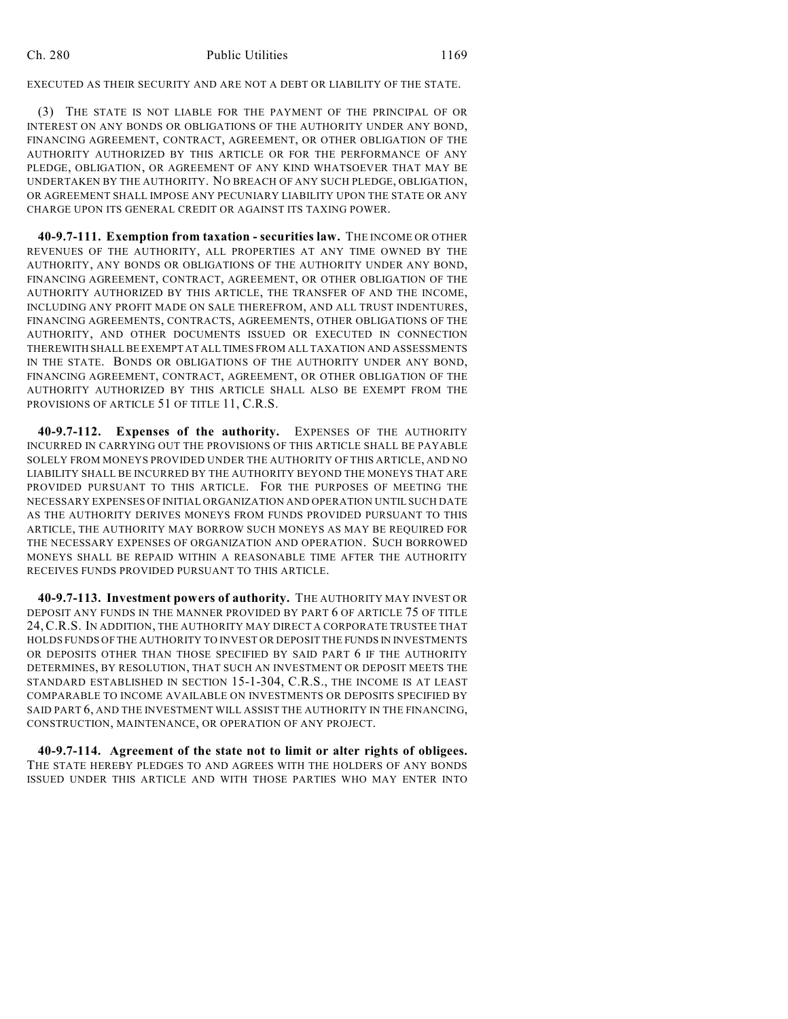EXECUTED AS THEIR SECURITY AND ARE NOT A DEBT OR LIABILITY OF THE STATE.

(3) THE STATE IS NOT LIABLE FOR THE PAYMENT OF THE PRINCIPAL OF OR INTEREST ON ANY BONDS OR OBLIGATIONS OF THE AUTHORITY UNDER ANY BOND, FINANCING AGREEMENT, CONTRACT, AGREEMENT, OR OTHER OBLIGATION OF THE AUTHORITY AUTHORIZED BY THIS ARTICLE OR FOR THE PERFORMANCE OF ANY PLEDGE, OBLIGATION, OR AGREEMENT OF ANY KIND WHATSOEVER THAT MAY BE UNDERTAKEN BY THE AUTHORITY. NO BREACH OF ANY SUCH PLEDGE, OBLIGATION, OR AGREEMENT SHALL IMPOSE ANY PECUNIARY LIABILITY UPON THE STATE OR ANY CHARGE UPON ITS GENERAL CREDIT OR AGAINST ITS TAXING POWER.

**40-9.7-111. Exemption from taxation - securities law.** THE INCOME OR OTHER REVENUES OF THE AUTHORITY, ALL PROPERTIES AT ANY TIME OWNED BY THE AUTHORITY, ANY BONDS OR OBLIGATIONS OF THE AUTHORITY UNDER ANY BOND, FINANCING AGREEMENT, CONTRACT, AGREEMENT, OR OTHER OBLIGATION OF THE AUTHORITY AUTHORIZED BY THIS ARTICLE, THE TRANSFER OF AND THE INCOME, INCLUDING ANY PROFIT MADE ON SALE THEREFROM, AND ALL TRUST INDENTURES, FINANCING AGREEMENTS, CONTRACTS, AGREEMENTS, OTHER OBLIGATIONS OF THE AUTHORITY, AND OTHER DOCUMENTS ISSUED OR EXECUTED IN CONNECTION THEREWITH SHALL BE EXEMPT AT ALL TIMES FROM ALL TAXATION AND ASSESSMENTS IN THE STATE. BONDS OR OBLIGATIONS OF THE AUTHORITY UNDER ANY BOND, FINANCING AGREEMENT, CONTRACT, AGREEMENT, OR OTHER OBLIGATION OF THE AUTHORITY AUTHORIZED BY THIS ARTICLE SHALL ALSO BE EXEMPT FROM THE PROVISIONS OF ARTICLE 51 OF TITLE 11, C.R.S.

**40-9.7-112. Expenses of the authority.** EXPENSES OF THE AUTHORITY INCURRED IN CARRYING OUT THE PROVISIONS OF THIS ARTICLE SHALL BE PAYABLE SOLELY FROM MONEYS PROVIDED UNDER THE AUTHORITY OF THIS ARTICLE, AND NO LIABILITY SHALL BE INCURRED BY THE AUTHORITY BEYOND THE MONEYS THAT ARE PROVIDED PURSUANT TO THIS ARTICLE. FOR THE PURPOSES OF MEETING THE NECESSARY EXPENSES OF INITIAL ORGANIZATION AND OPERATION UNTIL SUCH DATE AS THE AUTHORITY DERIVES MONEYS FROM FUNDS PROVIDED PURSUANT TO THIS ARTICLE, THE AUTHORITY MAY BORROW SUCH MONEYS AS MAY BE REQUIRED FOR THE NECESSARY EXPENSES OF ORGANIZATION AND OPERATION. SUCH BORROWED MONEYS SHALL BE REPAID WITHIN A REASONABLE TIME AFTER THE AUTHORITY RECEIVES FUNDS PROVIDED PURSUANT TO THIS ARTICLE.

**40-9.7-113. Investment powers of authority.** THE AUTHORITY MAY INVEST OR DEPOSIT ANY FUNDS IN THE MANNER PROVIDED BY PART 6 OF ARTICLE 75 OF TITLE 24,C.R.S. IN ADDITION, THE AUTHORITY MAY DIRECT A CORPORATE TRUSTEE THAT HOLDS FUNDS OF THE AUTHORITY TO INVEST OR DEPOSIT THE FUNDS IN INVESTMENTS OR DEPOSITS OTHER THAN THOSE SPECIFIED BY SAID PART 6 IF THE AUTHORITY DETERMINES, BY RESOLUTION, THAT SUCH AN INVESTMENT OR DEPOSIT MEETS THE STANDARD ESTABLISHED IN SECTION 15-1-304, C.R.S., THE INCOME IS AT LEAST COMPARABLE TO INCOME AVAILABLE ON INVESTMENTS OR DEPOSITS SPECIFIED BY SAID PART 6, AND THE INVESTMENT WILL ASSIST THE AUTHORITY IN THE FINANCING, CONSTRUCTION, MAINTENANCE, OR OPERATION OF ANY PROJECT.

**40-9.7-114. Agreement of the state not to limit or alter rights of obligees.** THE STATE HEREBY PLEDGES TO AND AGREES WITH THE HOLDERS OF ANY BONDS ISSUED UNDER THIS ARTICLE AND WITH THOSE PARTIES WHO MAY ENTER INTO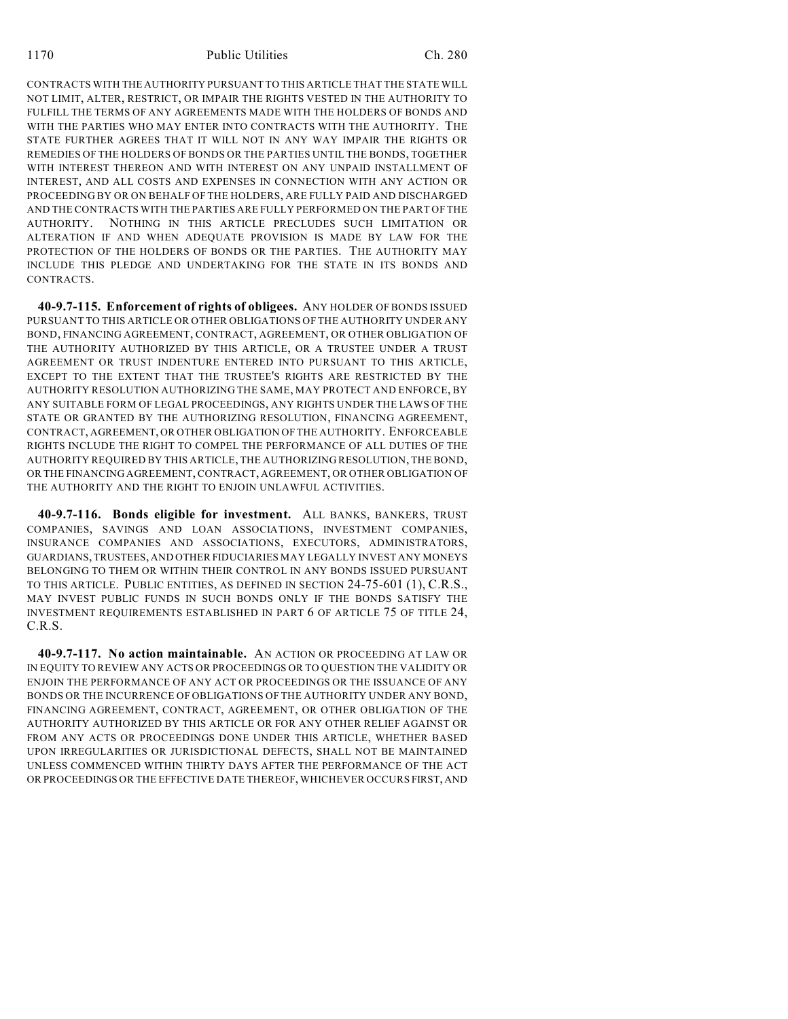CONTRACTS WITH THE AUTHORITY PURSUANT TO THIS ARTICLE THAT THE STATE WILL NOT LIMIT, ALTER, RESTRICT, OR IMPAIR THE RIGHTS VESTED IN THE AUTHORITY TO FULFILL THE TERMS OF ANY AGREEMENTS MADE WITH THE HOLDERS OF BONDS AND WITH THE PARTIES WHO MAY ENTER INTO CONTRACTS WITH THE AUTHORITY. THE STATE FURTHER AGREES THAT IT WILL NOT IN ANY WAY IMPAIR THE RIGHTS OR REMEDIES OF THE HOLDERS OF BONDS OR THE PARTIES UNTIL THE BONDS, TOGETHER WITH INTEREST THEREON AND WITH INTEREST ON ANY UNPAID INSTALLMENT OF INTEREST, AND ALL COSTS AND EXPENSES IN CONNECTION WITH ANY ACTION OR PROCEEDING BY OR ON BEHALF OF THE HOLDERS, ARE FULLY PAID AND DISCHARGED AND THE CONTRACTS WITH THE PARTIES ARE FULLY PERFORMED ON THE PART OF THE AUTHORITY. NOTHING IN THIS ARTICLE PRECLUDES SUCH LIMITATION OR ALTERATION IF AND WHEN ADEQUATE PROVISION IS MADE BY LAW FOR THE PROTECTION OF THE HOLDERS OF BONDS OR THE PARTIES. THE AUTHORITY MAY INCLUDE THIS PLEDGE AND UNDERTAKING FOR THE STATE IN ITS BONDS AND CONTRACTS.

**40-9.7-115. Enforcement of rights of obligees.** ANY HOLDER OF BONDS ISSUED PURSUANT TO THIS ARTICLE OR OTHER OBLIGATIONS OF THE AUTHORITY UNDER ANY BOND, FINANCING AGREEMENT, CONTRACT, AGREEMENT, OR OTHER OBLIGATION OF THE AUTHORITY AUTHORIZED BY THIS ARTICLE, OR A TRUSTEE UNDER A TRUST AGREEMENT OR TRUST INDENTURE ENTERED INTO PURSUANT TO THIS ARTICLE, EXCEPT TO THE EXTENT THAT THE TRUSTEE'S RIGHTS ARE RESTRICTED BY THE AUTHORITY RESOLUTION AUTHORIZING THE SAME, MAY PROTECT AND ENFORCE, BY ANY SUITABLE FORM OF LEGAL PROCEEDINGS, ANY RIGHTS UNDER THE LAWS OF THE STATE OR GRANTED BY THE AUTHORIZING RESOLUTION, FINANCING AGREEMENT, CONTRACT, AGREEMENT, OR OTHER OBLIGATION OF THE AUTHORITY. ENFORCEABLE RIGHTS INCLUDE THE RIGHT TO COMPEL THE PERFORMANCE OF ALL DUTIES OF THE AUTHORITY REQUIRED BY THIS ARTICLE, THE AUTHORIZING RESOLUTION, THE BOND, OR THE FINANCING AGREEMENT, CONTRACT, AGREEMENT, OR OTHER OBLIGATION OF THE AUTHORITY AND THE RIGHT TO ENJOIN UNLAWFUL ACTIVITIES.

**40-9.7-116. Bonds eligible for investment.** ALL BANKS, BANKERS, TRUST COMPANIES, SAVINGS AND LOAN ASSOCIATIONS, INVESTMENT COMPANIES, INSURANCE COMPANIES AND ASSOCIATIONS, EXECUTORS, ADMINISTRATORS, GUARDIANS, TRUSTEES, AND OTHER FIDUCIARIES MAY LEGALLY INVEST ANY MONEYS BELONGING TO THEM OR WITHIN THEIR CONTROL IN ANY BONDS ISSUED PURSUANT TO THIS ARTICLE. PUBLIC ENTITIES, AS DEFINED IN SECTION 24-75-601 (1), C.R.S., MAY INVEST PUBLIC FUNDS IN SUCH BONDS ONLY IF THE BONDS SATISFY THE INVESTMENT REQUIREMENTS ESTABLISHED IN PART 6 OF ARTICLE 75 OF TITLE 24, C.R.S.

**40-9.7-117. No action maintainable.** AN ACTION OR PROCEEDING AT LAW OR IN EQUITY TO REVIEW ANY ACTS OR PROCEEDINGS OR TO QUESTION THE VALIDITY OR ENJOIN THE PERFORMANCE OF ANY ACT OR PROCEEDINGS OR THE ISSUANCE OF ANY BONDS OR THE INCURRENCE OF OBLIGATIONS OF THE AUTHORITY UNDER ANY BOND, FINANCING AGREEMENT, CONTRACT, AGREEMENT, OR OTHER OBLIGATION OF THE AUTHORITY AUTHORIZED BY THIS ARTICLE OR FOR ANY OTHER RELIEF AGAINST OR FROM ANY ACTS OR PROCEEDINGS DONE UNDER THIS ARTICLE, WHETHER BASED UPON IRREGULARITIES OR JURISDICTIONAL DEFECTS, SHALL NOT BE MAINTAINED UNLESS COMMENCED WITHIN THIRTY DAYS AFTER THE PERFORMANCE OF THE ACT OR PROCEEDINGS OR THE EFFECTIVE DATE THEREOF, WHICHEVER OCCURS FIRST, AND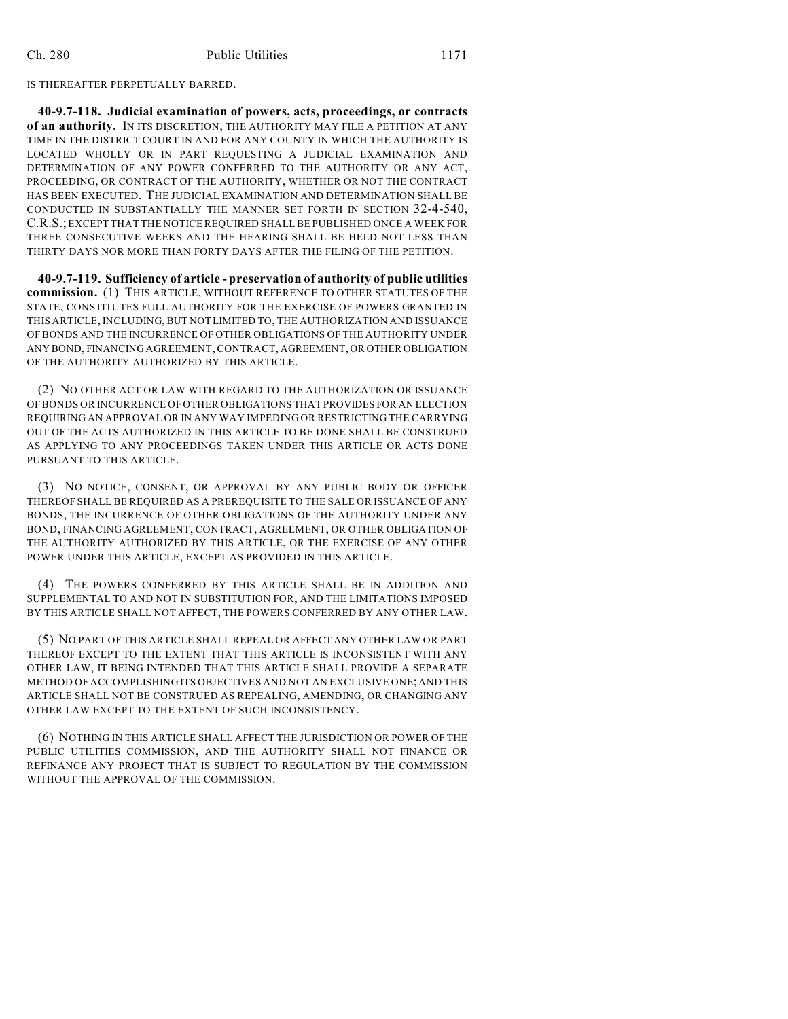IS THEREAFTER PERPETUALLY BARRED.

**40-9.7-118. Judicial examination of powers, acts, proceedings, or contracts of an authority.** IN ITS DISCRETION, THE AUTHORITY MAY FILE A PETITION AT ANY TIME IN THE DISTRICT COURT IN AND FOR ANY COUNTY IN WHICH THE AUTHORITY IS LOCATED WHOLLY OR IN PART REQUESTING A JUDICIAL EXAMINATION AND DETERMINATION OF ANY POWER CONFERRED TO THE AUTHORITY OR ANY ACT, PROCEEDING, OR CONTRACT OF THE AUTHORITY, WHETHER OR NOT THE CONTRACT HAS BEEN EXECUTED. THE JUDICIAL EXAMINATION AND DETERMINATION SHALL BE CONDUCTED IN SUBSTANTIALLY THE MANNER SET FORTH IN SECTION 32-4-540, C.R.S.; EXCEPT THAT THE NOTICE REQUIRED SHALL BE PUBLISHED ONCE A WEEK FOR THREE CONSECUTIVE WEEKS AND THE HEARING SHALL BE HELD NOT LESS THAN THIRTY DAYS NOR MORE THAN FORTY DAYS AFTER THE FILING OF THE PETITION.

**40-9.7-119. Sufficiency of article - preservation of authority of public utilities commission.** (1) THIS ARTICLE, WITHOUT REFERENCE TO OTHER STATUTES OF THE STATE, CONSTITUTES FULL AUTHORITY FOR THE EXERCISE OF POWERS GRANTED IN THIS ARTICLE, INCLUDING, BUT NOT LIMITED TO, THE AUTHORIZATION AND ISSUANCE OF BONDS AND THE INCURRENCE OF OTHER OBLIGATIONS OF THE AUTHORITY UNDER ANY BOND, FINANCING AGREEMENT, CONTRACT, AGREEMENT, OR OTHER OBLIGATION OF THE AUTHORITY AUTHORIZED BY THIS ARTICLE.

(2) NO OTHER ACT OR LAW WITH REGARD TO THE AUTHORIZATION OR ISSUANCE OF BONDS OR INCURRENCE OF OTHER OBLIGATIONS THAT PROVIDES FOR AN ELECTION REQUIRING AN APPROVAL OR IN ANY WAY IMPEDING OR RESTRICTING THE CARRYING OUT OF THE ACTS AUTHORIZED IN THIS ARTICLE TO BE DONE SHALL BE CONSTRUED AS APPLYING TO ANY PROCEEDINGS TAKEN UNDER THIS ARTICLE OR ACTS DONE PURSUANT TO THIS ARTICLE.

(3) NO NOTICE, CONSENT, OR APPROVAL BY ANY PUBLIC BODY OR OFFICER THEREOF SHALL BE REQUIRED AS A PREREQUISITE TO THE SALE OR ISSUANCE OF ANY BONDS, THE INCURRENCE OF OTHER OBLIGATIONS OF THE AUTHORITY UNDER ANY BOND, FINANCING AGREEMENT, CONTRACT, AGREEMENT, OR OTHER OBLIGATION OF THE AUTHORITY AUTHORIZED BY THIS ARTICLE, OR THE EXERCISE OF ANY OTHER POWER UNDER THIS ARTICLE, EXCEPT AS PROVIDED IN THIS ARTICLE.

(4) THE POWERS CONFERRED BY THIS ARTICLE SHALL BE IN ADDITION AND SUPPLEMENTAL TO AND NOT IN SUBSTITUTION FOR, AND THE LIMITATIONS IMPOSED BY THIS ARTICLE SHALL NOT AFFECT, THE POWERS CONFERRED BY ANY OTHER LAW.

(5) NO PART OF THIS ARTICLE SHALL REPEAL OR AFFECT ANY OTHER LAW OR PART THEREOF EXCEPT TO THE EXTENT THAT THIS ARTICLE IS INCONSISTENT WITH ANY OTHER LAW, IT BEING INTENDED THAT THIS ARTICLE SHALL PROVIDE A SEPARATE METHOD OF ACCOMPLISHING ITS OBJECTIVES AND NOT AN EXCLUSIVE ONE; AND THIS ARTICLE SHALL NOT BE CONSTRUED AS REPEALING, AMENDING, OR CHANGING ANY OTHER LAW EXCEPT TO THE EXTENT OF SUCH INCONSISTENCY.

(6) NOTHING IN THIS ARTICLE SHALL AFFECT THE JURISDICTION OR POWER OF THE PUBLIC UTILITIES COMMISSION, AND THE AUTHORITY SHALL NOT FINANCE OR REFINANCE ANY PROJECT THAT IS SUBJECT TO REGULATION BY THE COMMISSION WITHOUT THE APPROVAL OF THE COMMISSION.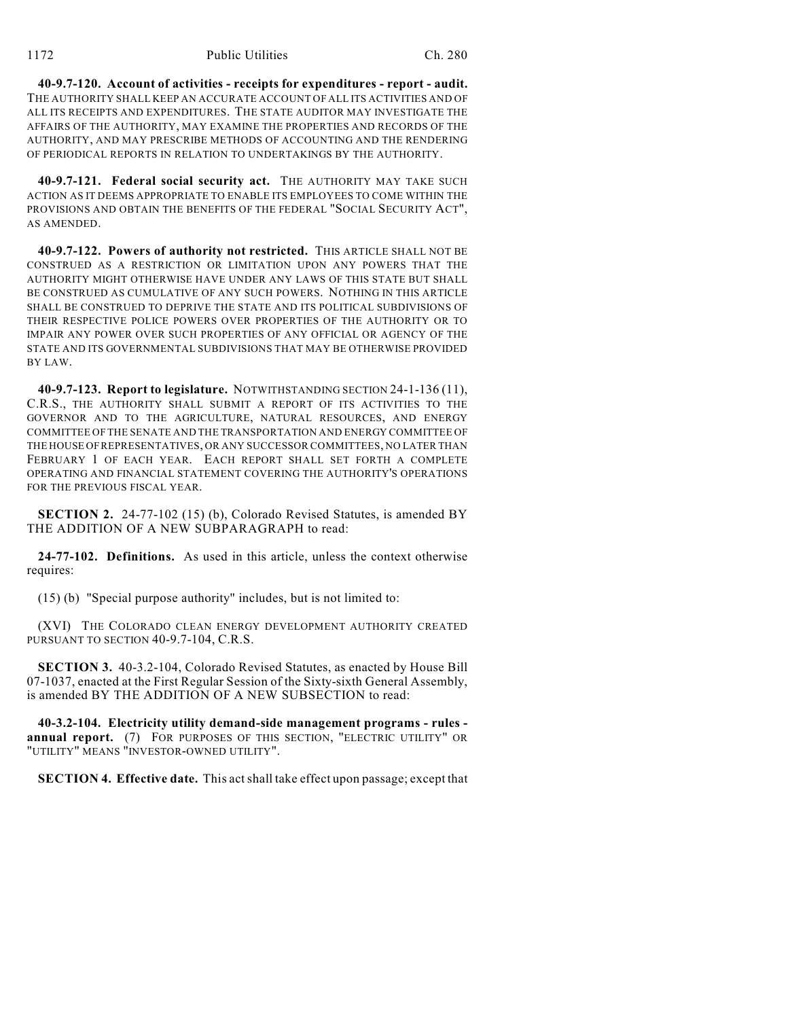**40-9.7-120. Account of activities - receipts for expenditures - report - audit.** THE AUTHORITY SHALL KEEP AN ACCURATE ACCOUNT OF ALL ITS ACTIVITIES AND OF ALL ITS RECEIPTS AND EXPENDITURES. THE STATE AUDITOR MAY INVESTIGATE THE AFFAIRS OF THE AUTHORITY, MAY EXAMINE THE PROPERTIES AND RECORDS OF THE AUTHORITY, AND MAY PRESCRIBE METHODS OF ACCOUNTING AND THE RENDERING OF PERIODICAL REPORTS IN RELATION TO UNDERTAKINGS BY THE AUTHORITY.

**40-9.7-121. Federal social security act.** THE AUTHORITY MAY TAKE SUCH ACTION AS IT DEEMS APPROPRIATE TO ENABLE ITS EMPLOYEES TO COME WITHIN THE PROVISIONS AND OBTAIN THE BENEFITS OF THE FEDERAL "SOCIAL SECURITY ACT", AS AMENDED.

**40-9.7-122. Powers of authority not restricted.** THIS ARTICLE SHALL NOT BE CONSTRUED AS A RESTRICTION OR LIMITATION UPON ANY POWERS THAT THE AUTHORITY MIGHT OTHERWISE HAVE UNDER ANY LAWS OF THIS STATE BUT SHALL BE CONSTRUED AS CUMULATIVE OF ANY SUCH POWERS. NOTHING IN THIS ARTICLE SHALL BE CONSTRUED TO DEPRIVE THE STATE AND ITS POLITICAL SUBDIVISIONS OF THEIR RESPECTIVE POLICE POWERS OVER PROPERTIES OF THE AUTHORITY OR TO IMPAIR ANY POWER OVER SUCH PROPERTIES OF ANY OFFICIAL OR AGENCY OF THE STATE AND ITS GOVERNMENTAL SUBDIVISIONS THAT MAY BE OTHERWISE PROVIDED BY LAW.

**40-9.7-123. Report to legislature.** NOTWITHSTANDING SECTION 24-1-136 (11), C.R.S., THE AUTHORITY SHALL SUBMIT A REPORT OF ITS ACTIVITIES TO THE GOVERNOR AND TO THE AGRICULTURE, NATURAL RESOURCES, AND ENERGY COMMITTEE OF THE SENATE AND THE TRANSPORTATION AND ENERGY COMMITTEE OF THE HOUSE OF REPRESENTATIVES, OR ANY SUCCESSOR COMMITTEES, NO LATER THAN FEBRUARY 1 OF EACH YEAR. EACH REPORT SHALL SET FORTH A COMPLETE OPERATING AND FINANCIAL STATEMENT COVERING THE AUTHORITY'S OPERATIONS FOR THE PREVIOUS FISCAL YEAR.

**SECTION 2.** 24-77-102 (15) (b), Colorado Revised Statutes, is amended BY THE ADDITION OF A NEW SUBPARAGRAPH to read:

**24-77-102. Definitions.** As used in this article, unless the context otherwise requires:

(15) (b) "Special purpose authority" includes, but is not limited to:

(XVI) THE COLORADO CLEAN ENERGY DEVELOPMENT AUTHORITY CREATED PURSUANT TO SECTION 40-9.7-104, C.R.S.

**SECTION 3.** 40-3.2-104, Colorado Revised Statutes, as enacted by House Bill 07-1037, enacted at the First Regular Session of the Sixty-sixth General Assembly, is amended BY THE ADDITION OF A NEW SUBSECTION to read:

**40-3.2-104. Electricity utility demand-side management programs - rules annual report.** (7) FOR PURPOSES OF THIS SECTION, "ELECTRIC UTILITY" OR "UTILITY" MEANS "INVESTOR-OWNED UTILITY".

**SECTION 4. Effective date.** This act shall take effect upon passage; except that